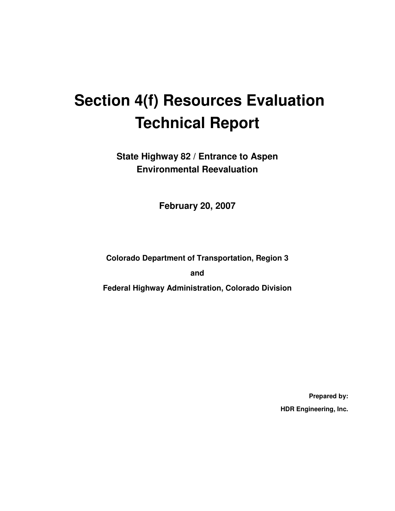# **Section 4(f) Resources Evaluation Technical Report**

**State Highway 82 / Entrance to Aspen Environmental Reevaluation** 

**February 20, 2007** 

**Colorado Department of Transportation, Region 3** 

**and** 

**Federal Highway Administration, Colorado Division** 

**Prepared by: HDR Engineering, Inc.**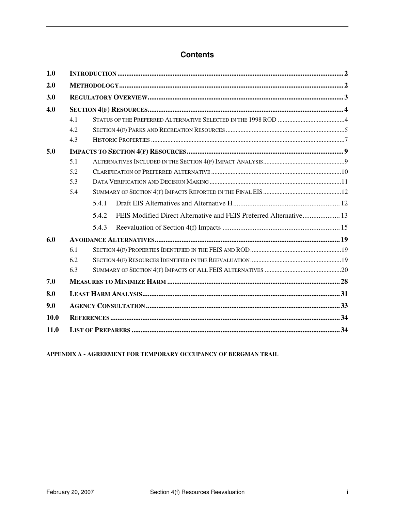### **Contents**

| 1.0  |     |       |  |
|------|-----|-------|--|
| 2.0  |     |       |  |
| 3.0  |     |       |  |
| 4.0  |     |       |  |
|      | 4.1 |       |  |
|      | 4.2 |       |  |
|      | 4.3 |       |  |
| 5.0  |     |       |  |
|      | 5.1 |       |  |
|      | 5.2 |       |  |
|      | 5.3 |       |  |
|      | 5.4 |       |  |
|      |     | 5.4.1 |  |
|      |     | 5.4.2 |  |
|      |     | 5.4.3 |  |
| 6.0  |     |       |  |
|      | 6.1 |       |  |
|      | 6.2 |       |  |
|      | 6.3 |       |  |
| 7.0  |     |       |  |
| 8.0  |     |       |  |
| 9.0  |     |       |  |
| 10.0 |     |       |  |
| 11.0 |     |       |  |

**APPENDIX A - AGREEMENT FOR TEMPORARY OCCUPANCY OF BERGMAN TRAIL**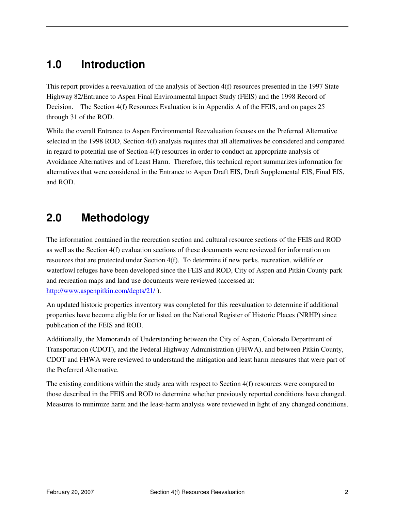# **1.0 Introduction**

This report provides a reevaluation of the analysis of Section 4(f) resources presented in the 1997 State Highway 82/Entrance to Aspen Final Environmental Impact Study (FEIS) and the 1998 Record of Decision. The Section 4(f) Resources Evaluation is in Appendix A of the FEIS, and on pages 25 through 31 of the ROD.

While the overall Entrance to Aspen Environmental Reevaluation focuses on the Preferred Alternative selected in the 1998 ROD, Section 4(f) analysis requires that all alternatives be considered and compared in regard to potential use of Section 4(f) resources in order to conduct an appropriate analysis of Avoidance Alternatives and of Least Harm. Therefore, this technical report summarizes information for alternatives that were considered in the Entrance to Aspen Draft EIS, Draft Supplemental EIS, Final EIS, and ROD.

# **2.0 Methodology**

The information contained in the recreation section and cultural resource sections of the FEIS and ROD as well as the Section 4(f) evaluation sections of these documents were reviewed for information on resources that are protected under Section 4(f). To determine if new parks, recreation, wildlife or waterfowl refuges have been developed since the FEIS and ROD, City of Aspen and Pitkin County park and recreation maps and land use documents were reviewed (accessed at: http://www.aspenpitkin.com/depts/21/ ).

An updated historic properties inventory was completed for this reevaluation to determine if additional properties have become eligible for or listed on the National Register of Historic Places (NRHP) since publication of the FEIS and ROD.

Additionally, the Memoranda of Understanding between the City of Aspen, Colorado Department of Transportation (CDOT), and the Federal Highway Administration (FHWA), and between Pitkin County, CDOT and FHWA were reviewed to understand the mitigation and least harm measures that were part of the Preferred Alternative.

The existing conditions within the study area with respect to Section 4(f) resources were compared to those described in the FEIS and ROD to determine whether previously reported conditions have changed. Measures to minimize harm and the least-harm analysis were reviewed in light of any changed conditions.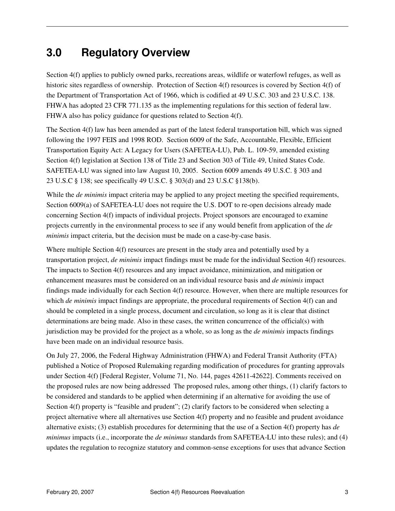# **3.0 Regulatory Overview**

Section 4(f) applies to publicly owned parks, recreations areas, wildlife or waterfowl refuges, as well as historic sites regardless of ownership. Protection of Section 4(f) resources is covered by Section 4(f) of the Department of Transportation Act of 1966, which is codified at 49 U.S.C. 303 and 23 U.S.C. 138. FHWA has adopted 23 CFR 771.135 as the implementing regulations for this section of federal law. FHWA also has policy guidance for questions related to Section 4(f).

The Section 4(f) law has been amended as part of the latest federal transportation bill, which was signed following the 1997 FEIS and 1998 ROD. Section 6009 of the Safe, Accountable, Flexible, Efficient Transportation Equity Act: A Legacy for Users (SAFETEA-LU), Pub. L. 109-59, amended existing Section 4(f) legislation at Section 138 of Title 23 and Section 303 of Title 49, United States Code. SAFETEA-LU was signed into law August 10, 2005. Section 6009 amends 49 U.S.C. § 303 and 23 U.S.C § 138; see specifically 49 U.S.C. § 303(d) and 23 U.S.C §138(b).

While the *de minimis* impact criteria may be applied to any project meeting the specified requirements, Section 6009(a) of SAFETEA-LU does not require the U.S. DOT to re-open decisions already made concerning Section 4(f) impacts of individual projects. Project sponsors are encouraged to examine projects currently in the environmental process to see if any would benefit from application of the *de minimis* impact criteria, but the decision must be made on a case-by-case basis.

Where multiple Section 4(f) resources are present in the study area and potentially used by a transportation project, *de minimis* impact findings must be made for the individual Section 4(f) resources. The impacts to Section 4(f) resources and any impact avoidance, minimization, and mitigation or enhancement measures must be considered on an individual resource basis and *de minimis* impact findings made individually for each Section 4(f) resource. However, when there are multiple resources for which *de minimis* impact findings are appropriate, the procedural requirements of Section 4(f) can and should be completed in a single process, document and circulation, so long as it is clear that distinct determinations are being made. Also in these cases, the written concurrence of the official(s) with jurisdiction may be provided for the project as a whole, so as long as the *de minimis* impacts findings have been made on an individual resource basis.

On July 27, 2006, the Federal Highway Administration (FHWA) and Federal Transit Authority (FTA) published a Notice of Proposed Rulemaking regarding modification of procedures for granting approvals under Section 4(f) [Federal Register, Volume 71, No. 144, pages 42611-42622]. Comments received on the proposed rules are now being addressed The proposed rules, among other things, (1) clarify factors to be considered and standards to be applied when determining if an alternative for avoiding the use of Section 4(f) property is "feasible and prudent"; (2) clarify factors to be considered when selecting a project alternative where all alternatives use Section 4(f) property and no feasible and prudent avoidance alternative exists; (3) establish procedures for determining that the use of a Section 4(f) property has *de minimus* impacts (i.e., incorporate the *de minimus* standards from SAFETEA-LU into these rules); and (4) updates the regulation to recognize statutory and common-sense exceptions for uses that advance Section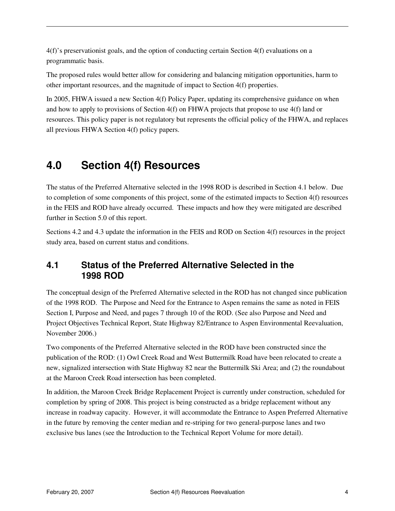4(f)'s preservationist goals, and the option of conducting certain Section 4(f) evaluations on a programmatic basis.

The proposed rules would better allow for considering and balancing mitigation opportunities, harm to other important resources, and the magnitude of impact to Section 4(f) properties.

In 2005, FHWA issued a new Section 4(f) Policy Paper, updating its comprehensive guidance on when and how to apply to provisions of Section 4(f) on FHWA projects that propose to use 4(f) land or resources. This policy paper is not regulatory but represents the official policy of the FHWA, and replaces all previous FHWA Section 4(f) policy papers.

# **4.0 Section 4(f) Resources**

The status of the Preferred Alternative selected in the 1998 ROD is described in Section 4.1 below. Due to completion of some components of this project, some of the estimated impacts to Section 4(f) resources in the FEIS and ROD have already occurred. These impacts and how they were mitigated are described further in Section 5.0 of this report.

Sections 4.2 and 4.3 update the information in the FEIS and ROD on Section 4(f) resources in the project study area, based on current status and conditions.

### **4.1 Status of the Preferred Alternative Selected in the 1998 ROD**

The conceptual design of the Preferred Alternative selected in the ROD has not changed since publication of the 1998 ROD. The Purpose and Need for the Entrance to Aspen remains the same as noted in FEIS Section I, Purpose and Need, and pages 7 through 10 of the ROD. (See also Purpose and Need and Project Objectives Technical Report, State Highway 82/Entrance to Aspen Environmental Reevaluation, November 2006.)

Two components of the Preferred Alternative selected in the ROD have been constructed since the publication of the ROD: (1) Owl Creek Road and West Buttermilk Road have been relocated to create a new, signalized intersection with State Highway 82 near the Buttermilk Ski Area; and (2) the roundabout at the Maroon Creek Road intersection has been completed.

In addition, the Maroon Creek Bridge Replacement Project is currently under construction, scheduled for completion by spring of 2008. This project is being constructed as a bridge replacement without any increase in roadway capacity. However, it will accommodate the Entrance to Aspen Preferred Alternative in the future by removing the center median and re-striping for two general-purpose lanes and two exclusive bus lanes (see the Introduction to the Technical Report Volume for more detail).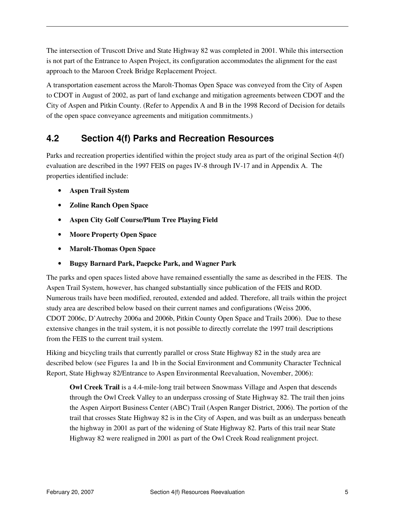The intersection of Truscott Drive and State Highway 82 was completed in 2001. While this intersection is not part of the Entrance to Aspen Project, its configuration accommodates the alignment for the east approach to the Maroon Creek Bridge Replacement Project.

A transportation easement across the Marolt-Thomas Open Space was conveyed from the City of Aspen to CDOT in August of 2002, as part of land exchange and mitigation agreements between CDOT and the City of Aspen and Pitkin County. (Refer to Appendix A and B in the 1998 Record of Decision for details of the open space conveyance agreements and mitigation commitments.)

### **4.2 Section 4(f) Parks and Recreation Resources**

Parks and recreation properties identified within the project study area as part of the original Section 4(f) evaluation are described in the 1997 FEIS on pages IV-8 through IV-17 and in Appendix A. The properties identified include:

- **Aspen Trail System**
- **Zoline Ranch Open Space**
- **Aspen City Golf Course/Plum Tree Playing Field**
- **Moore Property Open Space**
- **Marolt-Thomas Open Space**
- **Bugsy Barnard Park, Paepcke Park, and Wagner Park**

The parks and open spaces listed above have remained essentially the same as described in the FEIS. The Aspen Trail System, however, has changed substantially since publication of the FEIS and ROD. Numerous trails have been modified, rerouted, extended and added. Therefore, all trails within the project study area are described below based on their current names and configurations (Weiss 2006, CDOT 2006c, D'Autrechy 2006a and 2006b, Pitkin County Open Space and Trails 2006). Due to these extensive changes in the trail system, it is not possible to directly correlate the 1997 trail descriptions from the FEIS to the current trail system.

Hiking and bicycling trails that currently parallel or cross State Highway 82 in the study area are described below (see Figures 1a and 1b in the Social Environment and Community Character Technical Report, State Highway 82/Entrance to Aspen Environmental Reevaluation, November, 2006):

**Owl Creek Trail** is a 4.4-mile-long trail between Snowmass Village and Aspen that descends through the Owl Creek Valley to an underpass crossing of State Highway 82. The trail then joins the Aspen Airport Business Center (ABC) Trail (Aspen Ranger District, 2006). The portion of the trail that crosses State Highway 82 is in the City of Aspen, and was built as an underpass beneath the highway in 2001 as part of the widening of State Highway 82. Parts of this trail near State Highway 82 were realigned in 2001 as part of the Owl Creek Road realignment project.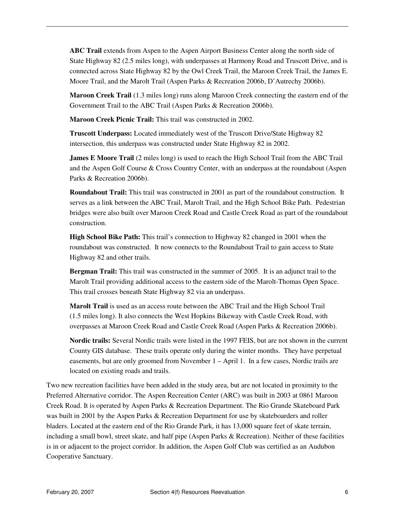**ABC Trail** extends from Aspen to the Aspen Airport Business Center along the north side of State Highway 82 (2.5 miles long), with underpasses at Harmony Road and Truscott Drive, and is connected across State Highway 82 by the Owl Creek Trail, the Maroon Creek Trail, the James E. Moore Trail, and the Marolt Trail (Aspen Parks & Recreation 2006b, D'Autrechy 2006b).

**Maroon Creek Trail** (1.3 miles long) runs along Maroon Creek connecting the eastern end of the Government Trail to the ABC Trail (Aspen Parks & Recreation 2006b).

**Maroon Creek Picnic Trail:** This trail was constructed in 2002.

**Truscott Underpass:** Located immediately west of the Truscott Drive/State Highway 82 intersection, this underpass was constructed under State Highway 82 in 2002.

**James E Moore Trail** (2 miles long) is used to reach the High School Trail from the ABC Trail and the Aspen Golf Course & Cross Country Center, with an underpass at the roundabout (Aspen Parks & Recreation 2006b).

**Roundabout Trail:** This trail was constructed in 2001 as part of the roundabout construction. It serves as a link between the ABC Trail, Marolt Trail, and the High School Bike Path. Pedestrian bridges were also built over Maroon Creek Road and Castle Creek Road as part of the roundabout construction.

**High School Bike Path:** This trail's connection to Highway 82 changed in 2001 when the roundabout was constructed. It now connects to the Roundabout Trail to gain access to State Highway 82 and other trails.

**Bergman Trail:** This trail was constructed in the summer of 2005. It is an adjunct trail to the Marolt Trail providing additional access to the eastern side of the Marolt-Thomas Open Space. This trail crosses beneath State Highway 82 via an underpass.

**Marolt Trail** is used as an access route between the ABC Trail and the High School Trail (1.5 miles long). It also connects the West Hopkins Bikeway with Castle Creek Road, with overpasses at Maroon Creek Road and Castle Creek Road (Aspen Parks & Recreation 2006b).

**Nordic trails:** Several Nordic trails were listed in the 1997 FEIS, but are not shown in the current County GIS database. These trails operate only during the winter months. They have perpetual easements, but are only groomed from November 1 – April 1. In a few cases, Nordic trails are located on existing roads and trails.

Two new recreation facilities have been added in the study area, but are not located in proximity to the Preferred Alternative corridor. The Aspen Recreation Center (ARC) was built in 2003 at 0861 Maroon Creek Road. It is operated by Aspen Parks & Recreation Department. The Rio Grande Skateboard Park was built in 2001 by the Aspen Parks & Recreation Department for use by skateboarders and roller bladers. Located at the eastern end of the Rio Grande Park, it has 13,000 square feet of skate terrain, including a small bowl, street skate, and half pipe (Aspen Parks & Recreation). Neither of these facilities is in or adjacent to the project corridor. In addition, the Aspen Golf Club was certified as an Audubon Cooperative Sanctuary.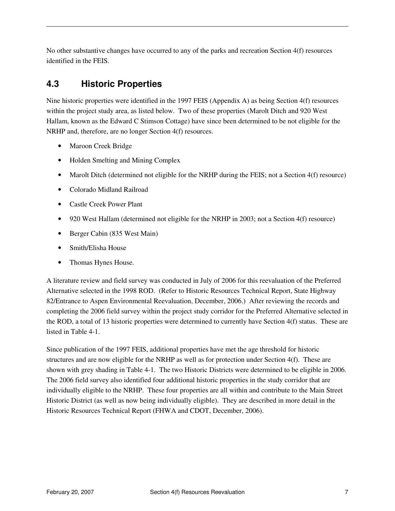No other substantive changes have occurred to any of the parks and recreation Section 4(f) resources identified in the FEIS.

# **4.3 Historic Properties**

Nine historic properties were identified in the 1997 FEIS (Appendix A) as being Section 4(f) resources within the project study area, as listed below. Two of these properties (Marolt Ditch and 920 West Hallam, known as the Edward C Stimson Cottage) have since been determined to be not eligible for the NRHP and, therefore, are no longer Section 4(f) resources.

- Maroon Creek Bridge
- Holden Smelting and Mining Complex
- Marolt Ditch (determined not eligible for the NRHP during the FEIS; not a Section 4(f) resource)
- Colorado Midland Railroad
- Castle Creek Power Plant
- 920 West Hallam (determined not eligible for the NRHP in 2003; not a Section 4(f) resource)
- Berger Cabin (835 West Main)
- Smith/Elisha House
- Thomas Hynes House.

A literature review and field survey was conducted in July of 2006 for this reevaluation of the Preferred Alternative selected in the 1998 ROD. (Refer to Historic Resources Technical Report, State Highway 82/Entrance to Aspen Environmental Reevaluation, December, 2006.) After reviewing the records and completing the 2006 field survey within the project study corridor for the Preferred Alternative selected in the ROD, a total of 13 historic properties were determined to currently have Section 4(f) status. These are listed in Table 4-1.

Since publication of the 1997 FEIS, additional properties have met the age threshold for historic structures and are now eligible for the NRHP as well as for protection under Section 4(f). These are shown with grey shading in Table 4-1. The two Historic Districts were determined to be eligible in 2006. The 2006 field survey also identified four additional historic properties in the study corridor that are individually eligible to the NRHP. These four properties are all within and contribute to the Main Street Historic District (as well as now being individually eligible). They are described in more detail in the Historic Resources Technical Report (FHWA and CDOT, December, 2006).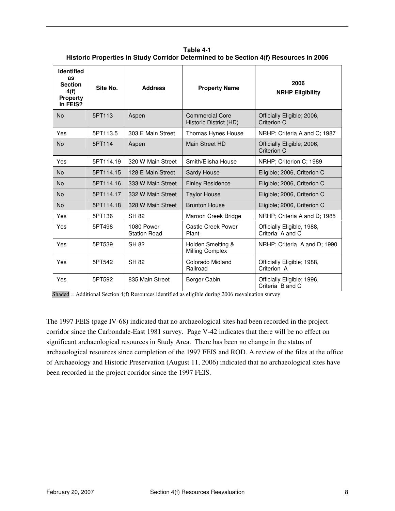**Table 4-1 Historic Properties in Study Corridor Determined to be Section 4(f) Resources in 2006** 

| <b>Identified</b><br>as<br><b>Section</b><br>4(f)<br><b>Property</b><br>in FEIS? | Site No.  | <b>Address</b>                    | <b>Property Name</b>                             | 2006<br><b>NRHP Eligibility</b>                |
|----------------------------------------------------------------------------------|-----------|-----------------------------------|--------------------------------------------------|------------------------------------------------|
| <b>No</b>                                                                        | 5PT113    | Aspen                             | <b>Commercial Core</b><br>Historic District (HD) | Officially Eligible; 2006,<br>Criterion C      |
| Yes                                                                              | 5PT113.5  | 303 E Main Street                 | Thomas Hynes House                               | NRHP; Criteria A and C; 1987                   |
| <b>No</b>                                                                        | 5PT114    | Aspen                             | Main Street HD                                   | Officially Eligible; 2006,<br>Criterion C      |
| Yes                                                                              | 5PT114.19 | 320 W Main Street                 | Smith/Flisha House                               | NRHP; Criterion C; 1989                        |
| <b>No</b>                                                                        | 5PT114.15 | 128 E Main Street                 | Sardy House                                      | Eligible; 2006, Criterion C                    |
| <b>No</b>                                                                        | 5PT114.16 | 333 W Main Street                 | <b>Finley Residence</b>                          | Eligible; 2006, Criterion C                    |
| <b>No</b>                                                                        | 5PT114.17 | 332 W Main Street                 | <b>Taylor House</b>                              | Eligible; 2006, Criterion C                    |
| <b>No</b>                                                                        | 5PT114.18 | 328 W Main Street                 | <b>Brunton House</b>                             | Eligible; 2006, Criterion C                    |
| Yes                                                                              | 5PT136    | <b>SH 82</b>                      | Maroon Creek Bridge                              | NRHP; Criteria A and D; 1985                   |
| Yes                                                                              | 5PT498    | 1080 Power<br><b>Station Road</b> | Castle Creek Power<br>Plant                      | Officially Eligible, 1988,<br>Criteria A and C |
| Yes                                                                              | 5PT539    | <b>SH 82</b>                      | Holden Smelting &<br>Milling Complex             | NRHP; Criteria A and D; 1990                   |
| Yes                                                                              | 5PT542    | <b>SH 82</b>                      | Colorado Midland<br>Railroad                     | Officially Eligible; 1988,<br>Criterion A      |
| Yes                                                                              | 5PT592    | 835 Main Street                   | Berger Cabin                                     | Officially Eligible; 1996,<br>Criteria B and C |

Shaded = Additional Section  $4(f)$  Resources identified as eligible during 2006 reevaluation survey

The 1997 FEIS (page IV-68) indicated that no archaeological sites had been recorded in the project corridor since the Carbondale-East 1981 survey. Page V-42 indicates that there will be no effect on significant archaeological resources in Study Area. There has been no change in the status of archaeological resources since completion of the 1997 FEIS and ROD. A review of the files at the office of Archaeology and Historic Preservation (August 11, 2006) indicated that no archaeological sites have been recorded in the project corridor since the 1997 FEIS.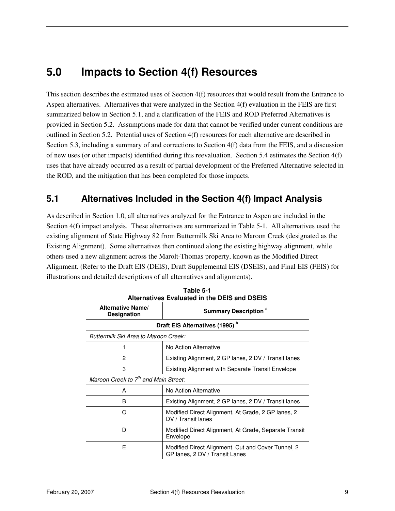# **5.0 Impacts to Section 4(f) Resources**

This section describes the estimated uses of Section 4(f) resources that would result from the Entrance to Aspen alternatives. Alternatives that were analyzed in the Section 4(f) evaluation in the FEIS are first summarized below in Section 5.1, and a clarification of the FEIS and ROD Preferred Alternatives is provided in Section 5.2. Assumptions made for data that cannot be verified under current conditions are outlined in Section 5.2. Potential uses of Section 4(f) resources for each alternative are described in Section 5.3, including a summary of and corrections to Section 4(f) data from the FEIS, and a discussion of new uses (or other impacts) identified during this reevaluation. Section 5.4 estimates the Section 4(f) uses that have already occurred as a result of partial development of the Preferred Alternative selected in the ROD, and the mitigation that has been completed for those impacts.

### **5.1 Alternatives Included in the Section 4(f) Impact Analysis**

As described in Section 1.0, all alternatives analyzed for the Entrance to Aspen are included in the Section 4(f) impact analysis. These alternatives are summarized in Table 5-1. All alternatives used the existing alignment of State Highway 82 from Buttermilk Ski Area to Maroon Creek (designated as the Existing Alignment). Some alternatives then continued along the existing highway alignment, while others used a new alignment across the Marolt-Thomas property, known as the Modified Direct Alignment. (Refer to the Draft EIS (DEIS), Draft Supplemental EIS (DSEIS), and Final EIS (FEIS) for illustrations and detailed descriptions of all alternatives and alignments).

| <b>Alternative Name/</b><br><b>Designation</b>            | <b>Summary Description<sup>a</sup></b>                                               |  |  |  |  |  |  |  |  |  |
|-----------------------------------------------------------|--------------------------------------------------------------------------------------|--|--|--|--|--|--|--|--|--|
|                                                           | Draft EIS Alternatives (1995) <sup>b</sup>                                           |  |  |  |  |  |  |  |  |  |
| Buttermilk Ski Area to Maroon Creek:                      |                                                                                      |  |  |  |  |  |  |  |  |  |
| No Action Alternative                                     |                                                                                      |  |  |  |  |  |  |  |  |  |
| 2<br>Existing Alignment, 2 GP lanes, 2 DV / Transit lanes |                                                                                      |  |  |  |  |  |  |  |  |  |
| 3                                                         | Existing Alignment with Separate Transit Envelope                                    |  |  |  |  |  |  |  |  |  |
| Maroon Creek to 7 <sup>th</sup> and Main Street:          |                                                                                      |  |  |  |  |  |  |  |  |  |
| A                                                         | No Action Alternative                                                                |  |  |  |  |  |  |  |  |  |
| R                                                         | Existing Alignment, 2 GP lanes, 2 DV / Transit lanes                                 |  |  |  |  |  |  |  |  |  |
| C                                                         | Modified Direct Alignment, At Grade, 2 GP lanes, 2<br>DV / Transit lanes             |  |  |  |  |  |  |  |  |  |
| D                                                         | Modified Direct Alignment, At Grade, Separate Transit<br>Envelope                    |  |  |  |  |  |  |  |  |  |
| F                                                         | Modified Direct Alignment, Cut and Cover Tunnel, 2<br>GP lanes, 2 DV / Transit Lanes |  |  |  |  |  |  |  |  |  |

**Table 5-1 Alternatives Evaluated in the DEIS and DSEIS**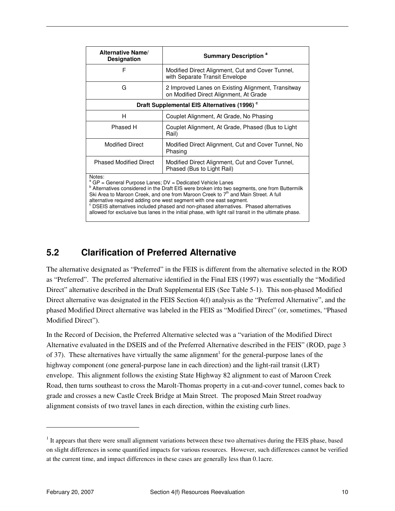| <b>Alternative Name/</b><br><b>Designation</b>          | <b>Summary Description<sup>a</sup></b>                                                       |  |  |  |  |  |  |  |  |  |  |
|---------------------------------------------------------|----------------------------------------------------------------------------------------------|--|--|--|--|--|--|--|--|--|--|
| F                                                       | Modified Direct Alignment, Cut and Cover Tunnel,<br>with Separate Transit Envelope           |  |  |  |  |  |  |  |  |  |  |
| G                                                       | 2 Improved Lanes on Existing Alignment, Transitway<br>on Modified Direct Alignment, At Grade |  |  |  |  |  |  |  |  |  |  |
| Draft Supplemental EIS Alternatives (1996) <sup>c</sup> |                                                                                              |  |  |  |  |  |  |  |  |  |  |
| н                                                       | Couplet Alignment, At Grade, No Phasing                                                      |  |  |  |  |  |  |  |  |  |  |
| Phased H                                                | Couplet Alignment, At Grade, Phased (Bus to Light)<br>Rail)                                  |  |  |  |  |  |  |  |  |  |  |
| <b>Modified Direct</b>                                  | Modified Direct Alignment, Cut and Cover Tunnel, No<br>Phasing                               |  |  |  |  |  |  |  |  |  |  |
| <b>Phased Modified Direct</b>                           | Modified Direct Alignment, Cut and Cover Tunnel,<br>Phased (Bus to Light Rail)               |  |  |  |  |  |  |  |  |  |  |
| Notes:                                                  |                                                                                              |  |  |  |  |  |  |  |  |  |  |

a GP = General Purpose Lanes; DV = Dedicated Vehicle Lanes

<sup>b</sup> Alternatives considered in the Draft EIS were broken into two segments, one from Buttermilk Ski Area to Maroon Creek, and one from Maroon Creek to  $7<sup>th</sup>$  and Main Street. A full alternative required adding one west segment with one east segment.

<sup>c</sup> DSEIS alternatives included phased and non-phased alternatives. Phased alternatives

allowed for exclusive bus lanes in the initial phase, with light rail transit in the ultimate phase.

### **5.2 Clarification of Preferred Alternative**

The alternative designated as "Preferred" in the FEIS is different from the alternative selected in the ROD as "Preferred". The preferred alternative identified in the Final EIS (1997) was essentially the "Modified Direct" alternative described in the Draft Supplemental EIS (See Table 5-1). This non-phased Modified Direct alternative was designated in the FEIS Section 4(f) analysis as the "Preferred Alternative", and the phased Modified Direct alternative was labeled in the FEIS as "Modified Direct" (or, sometimes, "Phased Modified Direct").

In the Record of Decision, the Preferred Alternative selected was a "variation of the Modified Direct Alternative evaluated in the DSEIS and of the Preferred Alternative described in the FEIS" (ROD, page 3 of 37). These alternatives have virtually the same alignment<sup>1</sup> for the general-purpose lanes of the highway component (one general-purpose lane in each direction) and the light-rail transit (LRT) envelope. This alignment follows the existing State Highway 82 alignment to east of Maroon Creek Road, then turns southeast to cross the Marolt-Thomas property in a cut-and-cover tunnel, comes back to grade and crosses a new Castle Creek Bridge at Main Street. The proposed Main Street roadway alignment consists of two travel lanes in each direction, within the existing curb lines.

 $\overline{a}$ 

<sup>&</sup>lt;sup>1</sup> It appears that there were small alignment variations between these two alternatives during the FEIS phase, based on slight differences in some quantified impacts for various resources. However, such differences cannot be verified at the current time, and impact differences in these cases are generally less than 0.1acre.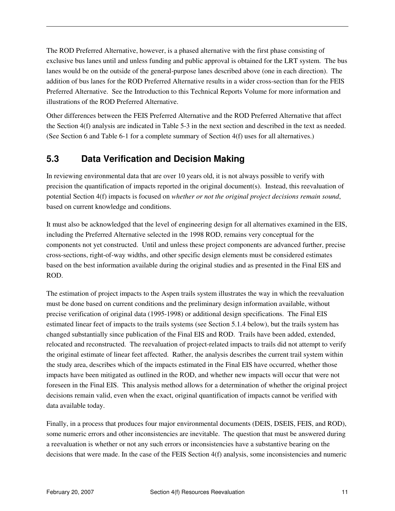The ROD Preferred Alternative, however, is a phased alternative with the first phase consisting of exclusive bus lanes until and unless funding and public approval is obtained for the LRT system. The bus lanes would be on the outside of the general-purpose lanes described above (one in each direction). The addition of bus lanes for the ROD Preferred Alternative results in a wider cross-section than for the FEIS Preferred Alternative. See the Introduction to this Technical Reports Volume for more information and illustrations of the ROD Preferred Alternative.

Other differences between the FEIS Preferred Alternative and the ROD Preferred Alternative that affect the Section 4(f) analysis are indicated in Table 5-3 in the next section and described in the text as needed. (See Section 6 and Table 6-1 for a complete summary of Section 4(f) uses for all alternatives.)

### **5.3 Data Verification and Decision Making**

In reviewing environmental data that are over 10 years old, it is not always possible to verify with precision the quantification of impacts reported in the original document(s). Instead, this reevaluation of potential Section 4(f) impacts is focused on *whether or not the original project decisions remain sound*, based on current knowledge and conditions.

It must also be acknowledged that the level of engineering design for all alternatives examined in the EIS, including the Preferred Alternative selected in the 1998 ROD, remains very conceptual for the components not yet constructed. Until and unless these project components are advanced further, precise cross-sections, right-of-way widths, and other specific design elements must be considered estimates based on the best information available during the original studies and as presented in the Final EIS and ROD.

The estimation of project impacts to the Aspen trails system illustrates the way in which the reevaluation must be done based on current conditions and the preliminary design information available, without precise verification of original data (1995-1998) or additional design specifications. The Final EIS estimated linear feet of impacts to the trails systems (see Section 5.1.4 below), but the trails system has changed substantially since publication of the Final EIS and ROD. Trails have been added, extended, relocated and reconstructed. The reevaluation of project-related impacts to trails did not attempt to verify the original estimate of linear feet affected. Rather, the analysis describes the current trail system within the study area, describes which of the impacts estimated in the Final EIS have occurred, whether those impacts have been mitigated as outlined in the ROD, and whether new impacts will occur that were not foreseen in the Final EIS. This analysis method allows for a determination of whether the original project decisions remain valid, even when the exact, original quantification of impacts cannot be verified with data available today.

Finally, in a process that produces four major environmental documents (DEIS, DSEIS, FEIS, and ROD), some numeric errors and other inconsistencies are inevitable. The question that must be answered during a reevaluation is whether or not any such errors or inconsistencies have a substantive bearing on the decisions that were made. In the case of the FEIS Section 4(f) analysis, some inconsistencies and numeric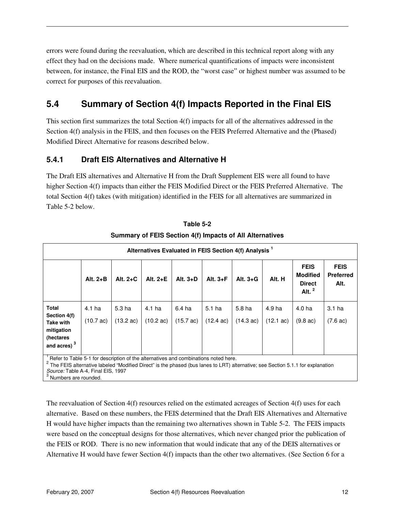errors were found during the reevaluation, which are described in this technical report along with any effect they had on the decisions made. Where numerical quantifications of impacts were inconsistent between, for instance, the Final EIS and the ROD, the "worst case" or highest number was assumed to be correct for purposes of this reevaluation.

# **5.4 Summary of Section 4(f) Impacts Reported in the Final EIS**

This section first summarizes the total Section 4(f) impacts for all of the alternatives addressed in the Section 4(f) analysis in the FEIS, and then focuses on the FEIS Preferred Alternative and the (Phased) Modified Direct Alternative for reasons described below.

#### **5.4.1 Draft EIS Alternatives and Alternative H**

The Draft EIS alternatives and Alternative H from the Draft Supplement EIS were all found to have higher Section 4(f) impacts than either the FEIS Modified Direct or the FEIS Preferred Alternative. The total Section 4(f) takes (with mitigation) identified in the FEIS for all alternatives are summarized in Table 5-2 below.

|                                                                                     | Alternatives Evaluated in FEIS Section 4(f) Analysis <sup>1</sup> |                     |                     |                     |                     |                     |                     |                                                              |                                         |  |  |  |  |  |
|-------------------------------------------------------------------------------------|-------------------------------------------------------------------|---------------------|---------------------|---------------------|---------------------|---------------------|---------------------|--------------------------------------------------------------|-----------------------------------------|--|--|--|--|--|
|                                                                                     | Alt. $2+B$                                                        | Alt. $2+C$          | Alt. $2+E$          | Alt. $3+D$          | Alt. $3 + F$        | Alt. $3+G$          | Alt. H              | <b>FEIS</b><br><b>Modified</b><br><b>Direct</b><br>Alt. $^2$ | <b>FEIS</b><br><b>Preferred</b><br>Alt. |  |  |  |  |  |
| <b>Total</b><br>Section 4(f)                                                        | 4.1 ha                                                            | 5.3 ha              | 4.1 ha              | 6.4 ha              | 5.1 <sub>ha</sub>   | 5.8 <sub>ha</sub>   | 4.9 ha              | 4.0 ha                                                       | 3.1 <sub>ha</sub>                       |  |  |  |  |  |
| <b>Take with</b>                                                                    | $(10.7 \text{ ac})$                                               | $(13.2 \text{ ac})$ | $(10.2 \text{ ac})$ | $(15.7 \text{ ac})$ | $(12.4 \text{ ac})$ | $(14.3 \text{ ac})$ | $(12.1 \text{ ac})$ | $(9.8 \text{ ac})$                                           | $(7.6 \text{ ac})$                      |  |  |  |  |  |
| mitigation<br>(hectares                                                             |                                                                   |                     |                     |                     |                     |                     |                     |                                                              |                                         |  |  |  |  |  |
| and acres) <sup>3</sup>                                                             |                                                                   |                     |                     |                     |                     |                     |                     |                                                              |                                         |  |  |  |  |  |
| Refer to Table 5-1 for description of the alternatives and combinations noted here. |                                                                   |                     |                     |                     |                     |                     |                     |                                                              |                                         |  |  |  |  |  |

**Table 5-2 Summary of FEIS Section 4(f) Impacts of All Alternatives** 

 $1$  Refer to Table 5-1 for description of the alternatives and combinations noted here.

 $^2$  The FEIS alternative labeled "Modified Direct" is the phased (bus lanes to LRT) alternative; see Section 5.1.1 for explanation Source: Table A-4, Final EIS, 1997<br><sup>3</sup> Numbers are rounded.

The reevaluation of Section 4(f) resources relied on the estimated acreages of Section 4(f) uses for each alternative. Based on these numbers, the FEIS determined that the Draft EIS Alternatives and Alternative H would have higher impacts than the remaining two alternatives shown in Table 5-2. The FEIS impacts were based on the conceptual designs for those alternatives, which never changed prior the publication of the FEIS or ROD. There is no new information that would indicate that any of the DEIS alternatives or Alternative H would have fewer Section 4(f) impacts than the other two alternatives. (See Section 6 for a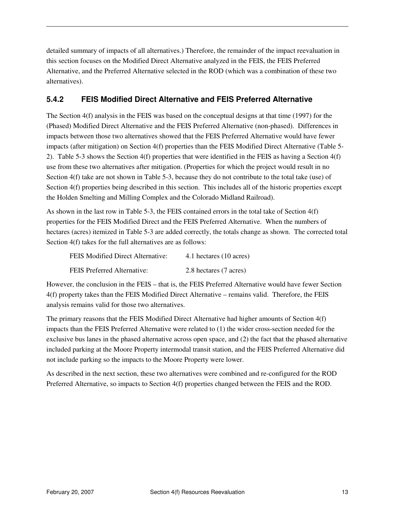detailed summary of impacts of all alternatives.) Therefore, the remainder of the impact reevaluation in this section focuses on the Modified Direct Alternative analyzed in the FEIS, the FEIS Preferred Alternative, and the Preferred Alternative selected in the ROD (which was a combination of these two alternatives).

#### **5.4.2 FEIS Modified Direct Alternative and FEIS Preferred Alternative**

The Section 4(f) analysis in the FEIS was based on the conceptual designs at that time (1997) for the (Phased) Modified Direct Alternative and the FEIS Preferred Alternative (non-phased). Differences in impacts between those two alternatives showed that the FEIS Preferred Alternative would have fewer impacts (after mitigation) on Section 4(f) properties than the FEIS Modified Direct Alternative (Table 5- 2). Table 5-3 shows the Section 4(f) properties that were identified in the FEIS as having a Section 4(f) use from these two alternatives after mitigation. (Properties for which the project would result in no Section 4(f) take are not shown in Table 5-3, because they do not contribute to the total take (use) of Section 4(f) properties being described in this section. This includes all of the historic properties except the Holden Smelting and Milling Complex and the Colorado Midland Railroad).

As shown in the last row in Table 5-3, the FEIS contained errors in the total take of Section 4(f) properties for the FEIS Modified Direct and the FEIS Preferred Alternative. When the numbers of hectares (acres) itemized in Table 5-3 are added correctly, the totals change as shown. The corrected total Section 4(f) takes for the full alternatives are as follows:

| <b>FEIS Modified Direct Alternative:</b> | 4.1 hectares (10 acres) |
|------------------------------------------|-------------------------|
| FEIS Preferred Alternative:              | 2.8 hectares (7 acres)  |

However, the conclusion in the FEIS – that is, the FEIS Preferred Alternative would have fewer Section 4(f) property takes than the FEIS Modified Direct Alternative – remains valid. Therefore, the FEIS analysis remains valid for those two alternatives.

The primary reasons that the FEIS Modified Direct Alternative had higher amounts of Section 4(f) impacts than the FEIS Preferred Alternative were related to (1) the wider cross-section needed for the exclusive bus lanes in the phased alternative across open space, and (2) the fact that the phased alternative included parking at the Moore Property intermodal transit station, and the FEIS Preferred Alternative did not include parking so the impacts to the Moore Property were lower.

As described in the next section, these two alternatives were combined and re-configured for the ROD Preferred Alternative, so impacts to Section 4(f) properties changed between the FEIS and the ROD.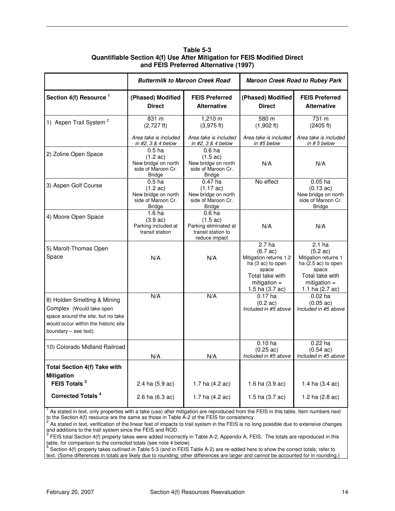|                                                                                                                                                                |                                                                                                       | <b>Buttermilk to Maroon Creek Road</b>                                                                  |                                                                                                                                                         | <b>Maroon Creek Road to Rubey Park</b>                                                                                                           |
|----------------------------------------------------------------------------------------------------------------------------------------------------------------|-------------------------------------------------------------------------------------------------------|---------------------------------------------------------------------------------------------------------|---------------------------------------------------------------------------------------------------------------------------------------------------------|--------------------------------------------------------------------------------------------------------------------------------------------------|
| Section 4(f) Resource <sup>1</sup>                                                                                                                             | (Phased) Modified<br><b>Direct</b>                                                                    | <b>FEIS Preferred</b><br><b>Alternative</b>                                                             | (Phased) Modified<br><b>Direct</b>                                                                                                                      | <b>FEIS Preferred</b><br><b>Alternative</b>                                                                                                      |
| 1) Aspen Trail System <sup>2</sup>                                                                                                                             | 831 m<br>$(2,727$ ft)                                                                                 | 1,210 m<br>(3.975 ft)                                                                                   | 580 m<br>$(1,902 \text{ ft})$                                                                                                                           | 731 m<br>(2405 ft)                                                                                                                               |
|                                                                                                                                                                | Area take is included<br>in #2, $3 & 4$ below                                                         | Area take is included<br>in #2. $3 & 4$ below                                                           | Area take is included<br>in #5 below                                                                                                                    | Area take is included<br>in $# 5$ below                                                                                                          |
| 2) Zoline Open Space                                                                                                                                           | $0.5$ ha<br>$(1.2 \text{ ac})$<br>New bridge on north<br>side of Maroon Cr.<br><b>Bridge</b>          | 0.6 <sub>ha</sub><br>$(1.5 \text{ ac})$<br>New bridge on north<br>side of Maroon Cr.<br><b>Bridge</b>   | N/A                                                                                                                                                     | N/A                                                                                                                                              |
| 3) Aspen Golf Course                                                                                                                                           | 0.5 <sub>ha</sub><br>$(1.2 \text{ ac})$<br>New bridge on north<br>side of Maroon Cr.<br><b>Bridge</b> | $0.47$ ha<br>$(1.17 \text{ ac})$<br>New bridge on north<br>side of Maroon Cr.<br><b>Bridge</b>          | No effect                                                                                                                                               | $0.05$ ha<br>$(0.13 \text{ ac})$<br>New bridge on north<br>side of Maroon Cr.<br><b>Bridge</b>                                                   |
| 4) Moore Open Space                                                                                                                                            | 1.6 <sub>ha</sub><br>$(3.9 \text{ ac})$<br>Parking included at<br>transit station                     | 0.6 <sub>ha</sub><br>$(1.5 \text{ ac})$<br>Parking eliminated at<br>transit station to<br>reduce impact | N/A                                                                                                                                                     | N/A                                                                                                                                              |
| 5) Marolt-Thomas Open<br>Space                                                                                                                                 | N/A                                                                                                   | N/A                                                                                                     | 2.7 <sub>ha</sub><br>$(6.7 \text{ ac})$<br>Mitigation returns 1.2<br>ha (3 ac) to open<br>space<br>Total take with<br>mitigation $=$<br>1.5 ha (3.7 ac) | $2.1$ ha<br>$(5.2 \text{ ac})$<br>Mitigation returns 1<br>ha $(2.5$ ac) to open<br>space<br>Total take with<br>mitigation $=$<br>1.1 ha (2.7 ac) |
| 8) Holden Smelting & Mining<br>Complex (Would take open<br>space around the site, but no take<br>would occur within the historic site<br>boundary - see text). | N/A                                                                                                   | N/A                                                                                                     | $0.17$ ha<br>$(0.2 \text{ ac})$<br>Included in #5 above                                                                                                 | $0.02$ ha<br>$(0.05 \text{ ac})$<br>Included in #5 above                                                                                         |
| 10) Colorado Midland Railroad                                                                                                                                  | N/A                                                                                                   | N/A                                                                                                     | $0.10$ ha<br>$(0.25 \text{ ac})$<br>Included in #5 above                                                                                                | $0.22$ ha<br>$(0.54 \text{ ac})$<br>Included in #5 above                                                                                         |
| Total Section 4(f) Take with<br><b>Mitigation</b>                                                                                                              |                                                                                                       |                                                                                                         |                                                                                                                                                         |                                                                                                                                                  |
| FEIS Totals <sup>3</sup>                                                                                                                                       | 2.4 ha (5.9 ac)                                                                                       | 1.7 ha (4.2 ac)                                                                                         | 1.6 ha (3.9 ac)                                                                                                                                         | 1.4 ha (3.4 ac)                                                                                                                                  |
| <b>Corrected Totals<sup>4</sup></b>                                                                                                                            | 2.6 ha (6.3 ac)                                                                                       | 1.7 ha (4.2 ac)                                                                                         | 1.5 ha (3.7 ac)                                                                                                                                         | 1.2 ha (2.8 ac)                                                                                                                                  |

**Table 5-3 Quantifiable Section 4(f) Use After Mitigation for FEIS Modified Direct and FEIS Preferred Alternative (1997)** 

<sup>1</sup> As stated in text, only properties with a take (use) after mitigation are reproduced from the FEIS in this table. Item numbers next

to the Section 4(f) resource are the same as those in Table A-2 of the FEIS for consistency.<br><sup>2</sup> As stated in text, verification of the linear feet of impacts to trail system in the FEIS is no long possible due to extensiv

and additions to the trail system since the FEIS and ROD.<br><sup>3</sup> FEIS total Section 4(f) property takes were added incorrectly in Table A-2, Appendix A, FEIS. The totals are reproduced in this

table, for comparison to the corrected totals (see note 4 below).<br><sup>4</sup> Section 4(f) property takes outlined in Table 5-3 (and in FEIS Table A-2) are re-added here to show the correct totals; refer to text. (Some differences in totals are likely due to rounding; other differences are larger and cannot be accounted for in rounding.)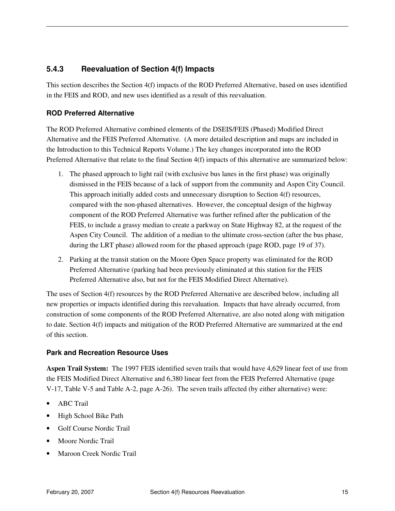#### **5.4.3 Reevaluation of Section 4(f) Impacts**

This section describes the Section 4(f) impacts of the ROD Preferred Alternative, based on uses identified in the FEIS and ROD, and new uses identified as a result of this reevaluation.

#### **ROD Preferred Alternative**

The ROD Preferred Alternative combined elements of the DSEIS/FEIS (Phased) Modified Direct Alternative and the FEIS Preferred Alternative. (A more detailed description and maps are included in the Introduction to this Technical Reports Volume.) The key changes incorporated into the ROD Preferred Alternative that relate to the final Section 4(f) impacts of this alternative are summarized below:

- 1. The phased approach to light rail (with exclusive bus lanes in the first phase) was originally dismissed in the FEIS because of a lack of support from the community and Aspen City Council. This approach initially added costs and unnecessary disruption to Section 4(f) resources, compared with the non-phased alternatives. However, the conceptual design of the highway component of the ROD Preferred Alternative was further refined after the publication of the FEIS, to include a grassy median to create a parkway on State Highway 82, at the request of the Aspen City Council. The addition of a median to the ultimate cross-section (after the bus phase, during the LRT phase) allowed room for the phased approach (page ROD, page 19 of 37).
- 2. Parking at the transit station on the Moore Open Space property was eliminated for the ROD Preferred Alternative (parking had been previously eliminated at this station for the FEIS Preferred Alternative also, but not for the FEIS Modified Direct Alternative).

The uses of Section 4(f) resources by the ROD Preferred Alternative are described below, including all new properties or impacts identified during this reevaluation. Impacts that have already occurred, from construction of some components of the ROD Preferred Alternative, are also noted along with mitigation to date. Section 4(f) impacts and mitigation of the ROD Preferred Alternative are summarized at the end of this section.

#### **Park and Recreation Resource Uses**

**Aspen Trail System:** The 1997 FEIS identified seven trails that would have 4,629 linear feet of use from the FEIS Modified Direct Alternative and 6,380 linear feet from the FEIS Preferred Alternative (page V-17, Table V-5 and Table A-2, page A-26). The seven trails affected (by either alternative) were:

- ABC Trail
- High School Bike Path
- Golf Course Nordic Trail
- Moore Nordic Trail
- Maroon Creek Nordic Trail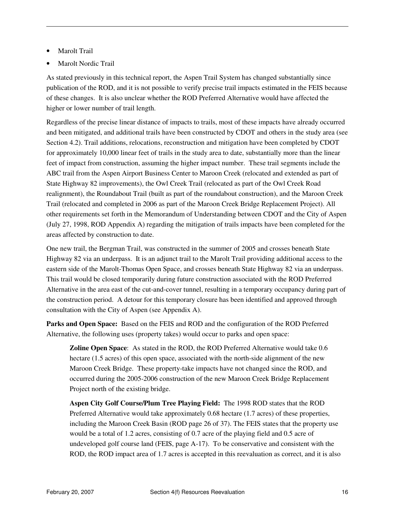- **Marolt Trail**
- Marolt Nordic Trail

As stated previously in this technical report, the Aspen Trail System has changed substantially since publication of the ROD, and it is not possible to verify precise trail impacts estimated in the FEIS because of these changes. It is also unclear whether the ROD Preferred Alternative would have affected the higher or lower number of trail length.

Regardless of the precise linear distance of impacts to trails, most of these impacts have already occurred and been mitigated, and additional trails have been constructed by CDOT and others in the study area (see Section 4.2). Trail additions, relocations, reconstruction and mitigation have been completed by CDOT for approximately 10,000 linear feet of trails in the study area to date, substantially more than the linear feet of impact from construction, assuming the higher impact number. These trail segments include the ABC trail from the Aspen Airport Business Center to Maroon Creek (relocated and extended as part of State Highway 82 improvements), the Owl Creek Trail (relocated as part of the Owl Creek Road realignment), the Roundabout Trail (built as part of the roundabout construction), and the Maroon Creek Trail (relocated and completed in 2006 as part of the Maroon Creek Bridge Replacement Project). All other requirements set forth in the Memorandum of Understanding between CDOT and the City of Aspen (July 27, 1998, ROD Appendix A) regarding the mitigation of trails impacts have been completed for the areas affected by construction to date.

One new trail, the Bergman Trail, was constructed in the summer of 2005 and crosses beneath State Highway 82 via an underpass. It is an adjunct trail to the Marolt Trail providing additional access to the eastern side of the Marolt-Thomas Open Space, and crosses beneath State Highway 82 via an underpass. This trail would be closed temporarily during future construction associated with the ROD Preferred Alternative in the area east of the cut-and-cover tunnel, resulting in a temporary occupancy during part of the construction period. A detour for this temporary closure has been identified and approved through consultation with the City of Aspen (see Appendix A).

**Parks and Open Space:** Based on the FEIS and ROD and the configuration of the ROD Preferred Alternative, the following uses (property takes) would occur to parks and open space:

**Zoline Open Space**: As stated in the ROD, the ROD Preferred Alternative would take 0.6 hectare (1.5 acres) of this open space, associated with the north-side alignment of the new Maroon Creek Bridge. These property-take impacts have not changed since the ROD, and occurred during the 2005-2006 construction of the new Maroon Creek Bridge Replacement Project north of the existing bridge.

**Aspen City Golf Course/Plum Tree Playing Field:** The 1998 ROD states that the ROD Preferred Alternative would take approximately 0.68 hectare (1.7 acres) of these properties, including the Maroon Creek Basin (ROD page 26 of 37). The FEIS states that the property use would be a total of 1.2 acres, consisting of 0.7 acre of the playing field and 0.5 acre of undeveloped golf course land (FEIS, page A-17). To be conservative and consistent with the ROD, the ROD impact area of 1.7 acres is accepted in this reevaluation as correct, and it is also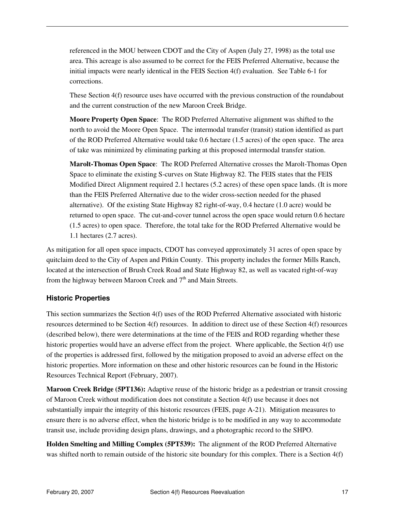referenced in the MOU between CDOT and the City of Aspen (July 27, 1998) as the total use area. This acreage is also assumed to be correct for the FEIS Preferred Alternative, because the initial impacts were nearly identical in the FEIS Section 4(f) evaluation. See Table 6-1 for corrections.

These Section 4(f) resource uses have occurred with the previous construction of the roundabout and the current construction of the new Maroon Creek Bridge.

**Moore Property Open Space**: The ROD Preferred Alternative alignment was shifted to the north to avoid the Moore Open Space. The intermodal transfer (transit) station identified as part of the ROD Preferred Alternative would take 0.6 hectare (1.5 acres) of the open space. The area of take was minimized by eliminating parking at this proposed intermodal transfer station.

**Marolt-Thomas Open Space**: The ROD Preferred Alternative crosses the Marolt-Thomas Open Space to eliminate the existing S-curves on State Highway 82. The FEIS states that the FEIS Modified Direct Alignment required 2.1 hectares (5.2 acres) of these open space lands. (It is more than the FEIS Preferred Alternative due to the wider cross-section needed for the phased alternative). Of the existing State Highway 82 right-of-way, 0.4 hectare (1.0 acre) would be returned to open space. The cut-and-cover tunnel across the open space would return 0.6 hectare (1.5 acres) to open space. Therefore, the total take for the ROD Preferred Alternative would be 1.1 hectares (2.7 acres).

As mitigation for all open space impacts, CDOT has conveyed approximately 31 acres of open space by quitclaim deed to the City of Aspen and Pitkin County. This property includes the former Mills Ranch, located at the intersection of Brush Creek Road and State Highway 82, as well as vacated right-of-way from the highway between Maroon Creek and  $7<sup>th</sup>$  and Main Streets.

#### **Historic Properties**

This section summarizes the Section 4(f) uses of the ROD Preferred Alternative associated with historic resources determined to be Section 4(f) resources. In addition to direct use of these Section 4(f) resources (described below), there were determinations at the time of the FEIS and ROD regarding whether these historic properties would have an adverse effect from the project. Where applicable, the Section 4(f) use of the properties is addressed first, followed by the mitigation proposed to avoid an adverse effect on the historic properties. More information on these and other historic resources can be found in the Historic Resources Technical Report (February, 2007).

**Maroon Creek Bridge (5PT136):** Adaptive reuse of the historic bridge as a pedestrian or transit crossing of Maroon Creek without modification does not constitute a Section 4(f) use because it does not substantially impair the integrity of this historic resources (FEIS, page A-21). Mitigation measures to ensure there is no adverse effect, when the historic bridge is to be modified in any way to accommodate transit use, include providing design plans, drawings, and a photographic record to the SHPO.

**Holden Smelting and Milling Complex (5PT539):** The alignment of the ROD Preferred Alternative was shifted north to remain outside of the historic site boundary for this complex. There is a Section 4(f)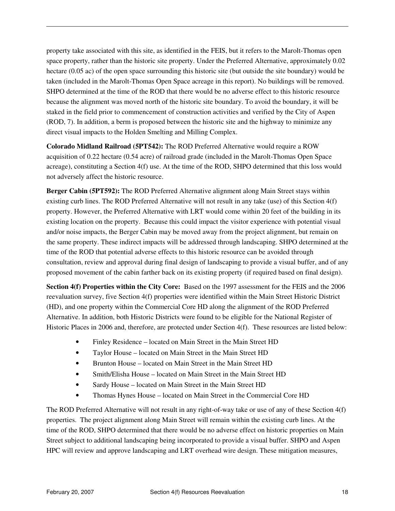property take associated with this site, as identified in the FEIS, but it refers to the Marolt-Thomas open space property, rather than the historic site property. Under the Preferred Alternative, approximately 0.02 hectare (0.05 ac) of the open space surrounding this historic site (but outside the site boundary) would be taken (included in the Marolt-Thomas Open Space acreage in this report). No buildings will be removed. SHPO determined at the time of the ROD that there would be no adverse effect to this historic resource because the alignment was moved north of the historic site boundary. To avoid the boundary, it will be staked in the field prior to commencement of construction activities and verified by the City of Aspen (ROD, 7). In addition, a berm is proposed between the historic site and the highway to minimize any direct visual impacts to the Holden Smelting and Milling Complex.

**Colorado Midland Railroad (5PT542):** The ROD Preferred Alternative would require a ROW acquisition of 0.22 hectare (0.54 acre) of railroad grade (included in the Marolt-Thomas Open Space acreage), constituting a Section 4(f) use. At the time of the ROD, SHPO determined that this loss would not adversely affect the historic resource.

**Berger Cabin (5PT592):** The ROD Preferred Alternative alignment along Main Street stays within existing curb lines. The ROD Preferred Alternative will not result in any take (use) of this Section 4(f) property. However, the Preferred Alternative with LRT would come within 20 feet of the building in its existing location on the property. Because this could impact the visitor experience with potential visual and/or noise impacts, the Berger Cabin may be moved away from the project alignment, but remain on the same property. These indirect impacts will be addressed through landscaping. SHPO determined at the time of the ROD that potential adverse effects to this historic resource can be avoided through consultation, review and approval during final design of landscaping to provide a visual buffer, and of any proposed movement of the cabin farther back on its existing property (if required based on final design).

**Section 4(f) Properties within the City Core:** Based on the 1997 assessment for the FEIS and the 2006 reevaluation survey, five Section 4(f) properties were identified within the Main Street Historic District (HD), and one property within the Commercial Core HD along the alignment of the ROD Preferred Alternative. In addition, both Historic Districts were found to be eligible for the National Register of Historic Places in 2006 and, therefore, are protected under Section 4(f). These resources are listed below:

- Finley Residence located on Main Street in the Main Street HD
- Taylor House located on Main Street in the Main Street HD
- Brunton House located on Main Street in the Main Street HD
- Smith/Elisha House located on Main Street in the Main Street HD
- Sardy House located on Main Street in the Main Street HD
- Thomas Hynes House located on Main Street in the Commercial Core HD

The ROD Preferred Alternative will not result in any right-of-way take or use of any of these Section 4(f) properties. The project alignment along Main Street will remain within the existing curb lines. At the time of the ROD, SHPO determined that there would be no adverse effect on historic properties on Main Street subject to additional landscaping being incorporated to provide a visual buffer. SHPO and Aspen HPC will review and approve landscaping and LRT overhead wire design. These mitigation measures,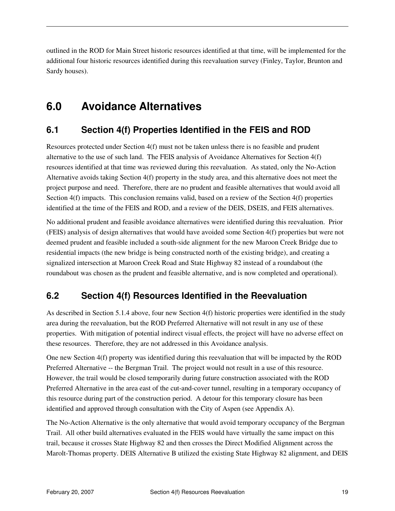outlined in the ROD for Main Street historic resources identified at that time, will be implemented for the additional four historic resources identified during this reevaluation survey (Finley, Taylor, Brunton and Sardy houses).

# **6.0 Avoidance Alternatives**

### **6.1 Section 4(f) Properties Identified in the FEIS and ROD**

Resources protected under Section 4(f) must not be taken unless there is no feasible and prudent alternative to the use of such land. The FEIS analysis of Avoidance Alternatives for Section 4(f) resources identified at that time was reviewed during this reevaluation. As stated, only the No-Action Alternative avoids taking Section 4(f) property in the study area, and this alternative does not meet the project purpose and need. Therefore, there are no prudent and feasible alternatives that would avoid all Section 4(f) impacts. This conclusion remains valid, based on a review of the Section 4(f) properties identified at the time of the FEIS and ROD, and a review of the DEIS, DSEIS, and FEIS alternatives.

No additional prudent and feasible avoidance alternatives were identified during this reevaluation. Prior (FEIS) analysis of design alternatives that would have avoided some Section 4(f) properties but were not deemed prudent and feasible included a south-side alignment for the new Maroon Creek Bridge due to residential impacts (the new bridge is being constructed north of the existing bridge), and creating a signalized intersection at Maroon Creek Road and State Highway 82 instead of a roundabout (the roundabout was chosen as the prudent and feasible alternative, and is now completed and operational).

# **6.2 Section 4(f) Resources Identified in the Reevaluation**

As described in Section 5.1.4 above, four new Section 4(f) historic properties were identified in the study area during the reevaluation, but the ROD Preferred Alternative will not result in any use of these properties. With mitigation of potential indirect visual effects, the project will have no adverse effect on these resources. Therefore, they are not addressed in this Avoidance analysis.

One new Section 4(f) property was identified during this reevaluation that will be impacted by the ROD Preferred Alternative -- the Bergman Trail. The project would not result in a use of this resource. However, the trail would be closed temporarily during future construction associated with the ROD Preferred Alternative in the area east of the cut-and-cover tunnel, resulting in a temporary occupancy of this resource during part of the construction period. A detour for this temporary closure has been identified and approved through consultation with the City of Aspen (see Appendix A).

The No-Action Alternative is the only alternative that would avoid temporary occupancy of the Bergman Trail. All other build alternatives evaluated in the FEIS would have virtually the same impact on this trail, because it crosses State Highway 82 and then crosses the Direct Modified Alignment across the Marolt-Thomas property. DEIS Alternative B utilized the existing State Highway 82 alignment, and DEIS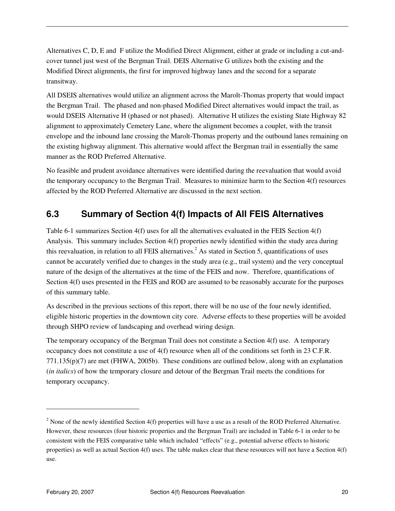Alternatives C, D, E and F utilize the Modified Direct Alignment, either at grade or including a cut-andcover tunnel just west of the Bergman Trail. DEIS Alternative G utilizes both the existing and the Modified Direct alignments, the first for improved highway lanes and the second for a separate transitway.

All DSEIS alternatives would utilize an alignment across the Marolt-Thomas property that would impact the Bergman Trail. The phased and non-phased Modified Direct alternatives would impact the trail, as would DSEIS Alternative H (phased or not phased). Alternative H utilizes the existing State Highway 82 alignment to approximately Cemetery Lane, where the alignment becomes a couplet, with the transit envelope and the inbound lane crossing the Marolt-Thomas property and the outbound lanes remaining on the existing highway alignment. This alternative would affect the Bergman trail in essentially the same manner as the ROD Preferred Alternative.

No feasible and prudent avoidance alternatives were identified during the reevaluation that would avoid the temporary occupancy to the Bergman Trail. Measures to minimize harm to the Section 4(f) resources affected by the ROD Preferred Alternative are discussed in the next section.

### **6.3 Summary of Section 4(f) Impacts of All FEIS Alternatives**

Table 6-1 summarizes Section 4(f) uses for all the alternatives evaluated in the FEIS Section 4(f) Analysis. This summary includes Section 4(f) properties newly identified within the study area during this reevaluation, in relation to all FEIS alternatives.<sup>2</sup> As stated in Section 5, quantifications of uses cannot be accurately verified due to changes in the study area (e.g., trail system) and the very conceptual nature of the design of the alternatives at the time of the FEIS and now. Therefore, quantifications of Section 4(f) uses presented in the FEIS and ROD are assumed to be reasonably accurate for the purposes of this summary table.

As described in the previous sections of this report, there will be no use of the four newly identified, eligible historic properties in the downtown city core. Adverse effects to these properties will be avoided through SHPO review of landscaping and overhead wiring design.

The temporary occupancy of the Bergman Trail does not constitute a Section 4(f) use. A temporary occupancy does not constitute a use of 4(f) resource when all of the conditions set forth in 23 C.F.R. 771.135(p)(7) are met (FHWA, 2005b). These conditions are outlined below, along with an explanation (*in italics*) of how the temporary closure and detour of the Bergman Trail meets the conditions for temporary occupancy.

 $\overline{a}$ 

<sup>&</sup>lt;sup>2</sup> None of the newly identified Section  $4(f)$  properties will have a use as a result of the ROD Preferred Alternative. However, these resources (four historic properties and the Bergman Trail) are included in Table 6-1 in order to be consistent with the FEIS comparative table which included "effects" (e.g., potential adverse effects to historic properties) as well as actual Section 4(f) uses. The table makes clear that these resources will not have a Section 4(f) use.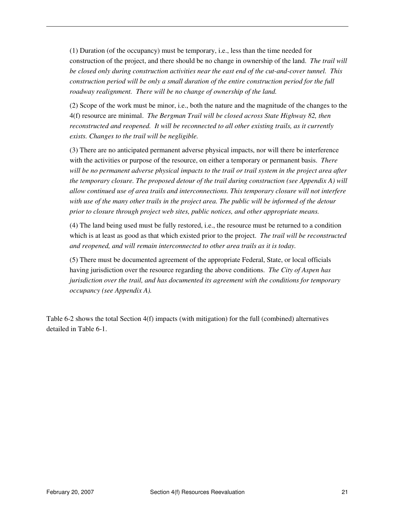(1) Duration (of the occupancy) must be temporary, i.e., less than the time needed for construction of the project, and there should be no change in ownership of the land. *The trail will be closed only during construction activities near the east end of the cut-and-cover tunnel. This construction period will be only a small duration of the entire construction period for the full roadway realignment. There will be no change of ownership of the land.*

(2) Scope of the work must be minor, i.e., both the nature and the magnitude of the changes to the 4(f) resource are minimal. *The Bergman Trail will be closed across State Highway 82, then reconstructed and reopened. It will be reconnected to all other existing trails, as it currently exists. Changes to the trail will be negligible.*

(3) There are no anticipated permanent adverse physical impacts, nor will there be interference with the activities or purpose of the resource, on either a temporary or permanent basis. *There will be no permanent adverse physical impacts to the trail or trail system in the project area after the temporary closure. The proposed detour of the trail during construction (see Appendix A) will allow continued use of area trails and interconnections. This temporary closure will not interfere with use of the many other trails in the project area. The public will be informed of the detour prior to closure through project web sites, public notices, and other appropriate means.* 

(4) The land being used must be fully restored, i.e., the resource must be returned to a condition which is at least as good as that which existed prior to the project. *The trail will be reconstructed and reopened, and will remain interconnected to other area trails as it is today.* 

(5) There must be documented agreement of the appropriate Federal, State, or local officials having jurisdiction over the resource regarding the above conditions. *The City of Aspen has jurisdiction over the trail, and has documented its agreement with the conditions for temporary occupancy (see Appendix A).* 

Table 6-2 shows the total Section 4(f) impacts (with mitigation) for the full (combined) alternatives detailed in Table 6-1.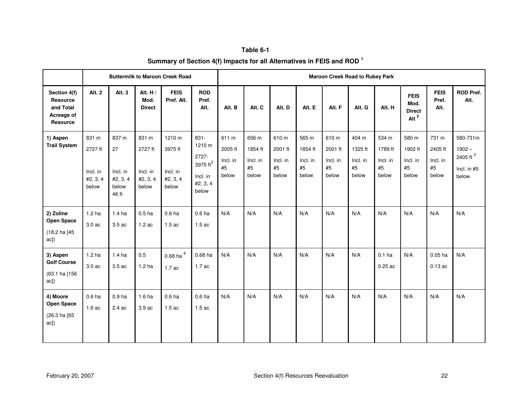| Table 6-1                                                            |
|----------------------------------------------------------------------|
| Summary of Section 4(f) Impacts for all Alternatives in FEIS and ROD |

|                                                                        |                                                   |                                                       |                                                   | <b>Buttermilk to Maroon Creek Road</b>             |                                                                                  | <b>Maroon Creek Road to Rubey Park</b>      |                                             |                                             |                                             |                                             |                                             |                                             |                                                  |                                             |                                                                        |
|------------------------------------------------------------------------|---------------------------------------------------|-------------------------------------------------------|---------------------------------------------------|----------------------------------------------------|----------------------------------------------------------------------------------|---------------------------------------------|---------------------------------------------|---------------------------------------------|---------------------------------------------|---------------------------------------------|---------------------------------------------|---------------------------------------------|--------------------------------------------------|---------------------------------------------|------------------------------------------------------------------------|
| Section 4(f)<br><b>Resource</b><br>and Total<br>Acreage of<br>Resource | Alt. 2                                            | Alt. 3                                                | Alt. H/<br>Mod.<br><b>Direct</b>                  | <b>FEIS</b><br>Pref. Alt.                          | <b>ROD</b><br>Pref.<br>Alt.                                                      | Alt. B                                      | Alt. C                                      | Alt. D                                      | Alt. E                                      | Alt. F                                      | Alt. G                                      | Alt. H                                      | <b>FEIS</b><br>Mod.<br><b>Direct</b><br>Alt $^2$ | <b>FEIS</b><br>Pref.<br>Alt.                | <b>ROD Pref.</b><br>Alt.                                               |
| 1) Aspen<br><b>Trail System</b>                                        | 831 m<br>2727 ft<br>Incl. in<br>#2, 3, 4<br>below | 837 m<br>27<br>Incl. in<br>#2, 3, 4<br>below<br>46 ft | 831 m<br>2727 ft<br>Incl. in<br>#2, 3, 4<br>below | 1210 m<br>3975 ft<br>Incl. in<br>#2, 3, 4<br>below | 831-<br>1210 m<br>2727-<br>3975 ft <sup>3</sup><br>Incl. in<br>#2, 3, 4<br>below | 611 m<br>2005 ft<br>Incl. in<br>#5<br>below | 656 m<br>1854 ft<br>Incl. in<br>#5<br>below | 610 m<br>2001 ft<br>Incl. in<br>#5<br>below | 565 m<br>1854 ft<br>Incl. in<br>#5<br>below | 610 m<br>2001 ft<br>Incl. in<br>#5<br>below | 404 m<br>1325 ft<br>Incl. in<br>#5<br>below | 534 m<br>1789 ft<br>Incl. in<br>#5<br>below | 580 m<br>1902 ft<br>Incl. in<br>#5<br>below      | 731 m<br>2405 ft<br>Incl. in<br>#5<br>below | 580-731m<br>$1902 -$<br>2405 ft <sup>3</sup><br>Incl. in $#5$<br>below |
| 2) Zoline<br><b>Open Space</b><br>(18.2 ha [45<br>ac])                 | 1.2 <sub>ha</sub><br>3.0 ac                       | 1.4 <sub>ha</sub><br>3.5 ac                           | 0.5 <sub>ha</sub><br>1.2ac                        | 0.6 <sub>ha</sub><br>1.5ac                         | 0.6 <sub>ha</sub><br>1.5ac                                                       | N/A                                         | N/A                                         | N/A                                         | N/A                                         | N/A                                         | N/A                                         | N/A                                         | N/A                                              | N/A                                         | N/A                                                                    |
| 3) Aspen<br><b>Golf Course</b><br>(63.1 ha [156<br>$ac$ ])             | 1.2 <sub>ha</sub><br>3.0 ac                       | 1.4 <sub>ha</sub><br>3.5 ac                           | 0.5<br>1.2 <sub>ha</sub>                          | $0.68$ ha <sup>4</sup><br>1.7 ac                   | 0.68 ha<br>1.7ac                                                                 | N/A                                         | N/A                                         | N/A                                         | N/A                                         | N/A                                         | N/A                                         | 0.1 <sub>ha</sub><br>$0.25$ ac              | N/A                                              | $0.05$ ha<br>$0.13$ ac                      | N/A                                                                    |
| 4) Moore<br><b>Open Space</b><br>(26.3 ha [65<br>$ac$ ])               | 0.6 <sub>ha</sub><br>1.6ac                        | 0.9 <sub>ha</sub><br>2.4 ac                           | 1.6 <sub>ha</sub><br>3.9 ac                       | 0.6 <sub>ha</sub><br>1.5ac                         | 0.6 <sub>ha</sub><br>1.5ac                                                       | N/A                                         | N/A                                         | N/A                                         | N/A                                         | N/A                                         | N/A                                         | N/A                                         | N/A                                              | N/A                                         | N/A                                                                    |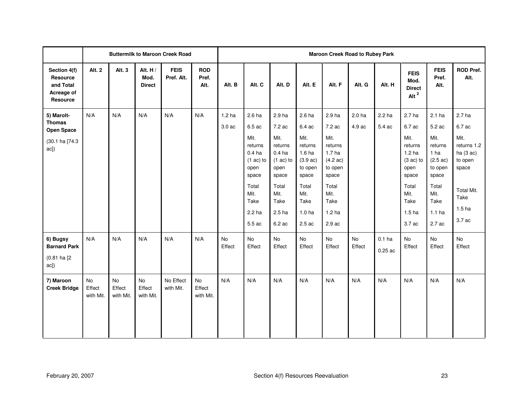|                                                                               |                                  |                           |                                  | <b>Buttermilk to Maroon Creek Road</b> |                             | <b>Maroon Creek Road to Rubey Park</b> |                                                                                                                                                          |                                                                                                                                       |                                                                                                                                                            |                                                                                                                                                            |                             |                             |                                                                                                                                                             |                                                                                                                                                                     |                                                                                                                                            |
|-------------------------------------------------------------------------------|----------------------------------|---------------------------|----------------------------------|----------------------------------------|-----------------------------|----------------------------------------|----------------------------------------------------------------------------------------------------------------------------------------------------------|---------------------------------------------------------------------------------------------------------------------------------------|------------------------------------------------------------------------------------------------------------------------------------------------------------|------------------------------------------------------------------------------------------------------------------------------------------------------------|-----------------------------|-----------------------------|-------------------------------------------------------------------------------------------------------------------------------------------------------------|---------------------------------------------------------------------------------------------------------------------------------------------------------------------|--------------------------------------------------------------------------------------------------------------------------------------------|
| Section 4(f)<br>Resource<br>and Total<br>Acreage of<br>Resource               | Alt. 2                           | Alt. 3                    | Alt. H/<br>Mod.<br><b>Direct</b> | <b>FEIS</b><br>Pref. Alt.              | <b>ROD</b><br>Pref.<br>Alt. | Alt. B                                 | Alt. C                                                                                                                                                   | Alt. D                                                                                                                                | Alt. E                                                                                                                                                     | Alt. F                                                                                                                                                     | Alt. G                      | Alt. H                      | <b>FEIS</b><br>Mod.<br><b>Direct</b><br>Alt $^2$                                                                                                            | <b>FEIS</b><br>Pref.<br>Alt.                                                                                                                                        | <b>ROD Pref.</b><br>Alt.                                                                                                                   |
| 5) Marolt-<br><b>Thomas</b><br><b>Open Space</b><br>(30.1 ha [74.3<br>$ac$ ]) | N/A                              | N/A                       | N/A                              | N/A                                    | N/A                         | 1.2 <sub>ha</sub><br>3.0 ac            | 2.6 <sub>ha</sub><br>6.5 ac<br>Mit.<br>returns<br>0.4 <sub>ha</sub><br>$(1 \text{ ac})$ to<br>open<br>space<br>Total<br>Mit.<br>Take<br>2.2 ha<br>5.5 ac | 2.9 ha<br>7.2 ac<br>Mit.<br>returns<br>0.4 <sub>ha</sub><br>$(1 ac)$ to<br>open<br>space<br>Total<br>Mit.<br>Take<br>2.5 ha<br>6.2 ac | 2.6 <sub>ha</sub><br>6.4 ac<br>Mit.<br>returns<br>1.6 <sub>ha</sub><br>(3.9 ac)<br>to open<br>space<br>Total<br>Mit.<br>Take<br>1.0 <sub>ha</sub><br>2.5ac | 2.9 ha<br>7.2 ac<br>Mit.<br>returns<br>1.7 <sub>ha</sub><br>$(4.2 \text{ ac})$<br>to open<br>space<br>Total<br>Mit.<br>Take<br>1.2 <sub>ha</sub><br>2.9 ac | 2.0 <sub>ha</sub><br>4.9 ac | 2.2 <sub>ha</sub><br>5.4 ac | 2.7 <sub>ha</sub><br>6.7 ac<br>Mit.<br>returns<br>1.2 <sub>ha</sub><br>$(3 ac)$ to<br>open<br>space<br>Total<br>Mit.<br>Take<br>1.5 <sub>ha</sub><br>3.7 ac | 2.1 <sub>ha</sub><br>5.2 ac<br>Mit.<br>returns<br>1 <sub>ha</sub><br>$(2.5 \text{ ac})$<br>to open<br>space<br>Total<br>Mit.<br>Take<br>1.1 <sub>ha</sub><br>2.7 ac | 2.7 <sub>ha</sub><br>6.7 ac<br>Mit.<br>returns 1.2<br>ha $(3 ac)$<br>to open<br>space<br>Total Mit.<br>Take<br>1.5 <sub>ha</sub><br>3.7 ac |
| 6) Bugsy<br><b>Barnard Park</b><br>$(0.81$ ha $[2]$<br>ac])                   | N/A                              | N/A                       | N/A                              | N/A                                    | N/A                         | No<br>Effect                           | No<br>Effect                                                                                                                                             | <b>No</b><br>Effect                                                                                                                   | <b>No</b><br>Effect                                                                                                                                        | <b>No</b><br>Effect                                                                                                                                        | <b>No</b><br>Effect         | $0.1$ ha<br>0.25ac          | <b>No</b><br>Effect                                                                                                                                         | <b>No</b><br>Effect                                                                                                                                                 | No<br>Effect                                                                                                                               |
| 7) Maroon<br><b>Creek Bridge</b>                                              | <b>No</b><br>Effect<br>with Mit. | No<br>Effect<br>with Mit. | No<br>Effect<br>with Mit.        | No Effect<br>with Mit.                 | No<br>Effect<br>with Mit.   | N/A                                    | N/A                                                                                                                                                      | N/A                                                                                                                                   | N/A                                                                                                                                                        | N/A                                                                                                                                                        | N/A                         | N/A                         | N/A                                                                                                                                                         | N/A                                                                                                                                                                 | N/A                                                                                                                                        |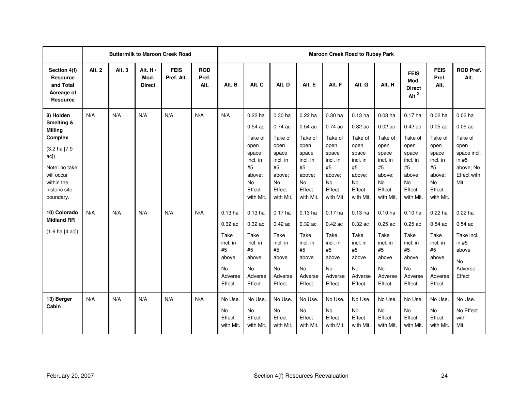|                                                                                                                                                               |               |        |                                    | <b>Buttermilk to Maroon Creek Road</b> |                             | <b>Maroon Creek Road to Rubey Park</b>                                                    |                                                                                                                 |                                                                                                               |                                                                                                                 |                                                                                                                          |                                                                                                                    |                                                                                                                    |                                                                                                                    |                                                                                                                    |                                                                                                                |
|---------------------------------------------------------------------------------------------------------------------------------------------------------------|---------------|--------|------------------------------------|----------------------------------------|-----------------------------|-------------------------------------------------------------------------------------------|-----------------------------------------------------------------------------------------------------------------|---------------------------------------------------------------------------------------------------------------|-----------------------------------------------------------------------------------------------------------------|--------------------------------------------------------------------------------------------------------------------------|--------------------------------------------------------------------------------------------------------------------|--------------------------------------------------------------------------------------------------------------------|--------------------------------------------------------------------------------------------------------------------|--------------------------------------------------------------------------------------------------------------------|----------------------------------------------------------------------------------------------------------------|
| Section 4(f)<br><b>Resource</b><br>and Total<br>Acreage of<br><b>Resource</b>                                                                                 | <b>Alt. 2</b> | Alt. 3 | Alt. $H/$<br>Mod.<br><b>Direct</b> | <b>FEIS</b><br>Pref. Alt.              | <b>ROD</b><br>Pref.<br>Alt. | Alt. B                                                                                    | Alt. C                                                                                                          | Alt. D                                                                                                        | Alt. E                                                                                                          | Alt. F                                                                                                                   | Alt. G                                                                                                             | Alt. H                                                                                                             | <b>FEIS</b><br>Mod.<br><b>Direct</b><br>Alt $^2$                                                                   | <b>FEIS</b><br>Pref.<br>Alt.                                                                                       | <b>ROD Pref.</b><br>Alt.                                                                                       |
| 8) Holden<br>Smelting &<br><b>Milling</b><br><b>Complex</b><br>(3.2 ha [7.9<br>ac]<br>Note: no take<br>will occur<br>within the<br>historic site<br>boundary. | N/A           | N/A    | N/A                                | N/A                                    | N/A                         | N/A                                                                                       | $0.22$ ha<br>0.54ac<br>Take of<br>open<br>space<br>incl. in<br>#5<br>above:<br><b>No</b><br>Effect<br>with Mit. | 0.30 ha<br>0.74ac<br>Take of<br>open<br>space<br>incl. in<br>#5<br>above:<br><b>No</b><br>Effect<br>with Mit. | $0.22$ ha<br>0.54ac<br>Take of<br>open<br>space<br>incl. in<br>#5<br>above:<br><b>No</b><br>Effect<br>with Mit. | 0.30 <sub>ha</sub><br>0.74ac<br>Take of<br>open<br>space<br>incl. in<br>#5<br>above:<br><b>No</b><br>Effect<br>with Mit. | $0.13$ ha<br>$0.32$ ac<br>Take of<br>open<br>space<br>incl. in<br>#5<br>above:<br><b>No</b><br>Effect<br>with Mit. | $0.08$ ha<br>$0.02$ ac<br>Take of<br>open<br>space<br>incl. in<br>#5<br>above:<br><b>No</b><br>Effect<br>with Mit. | $0.17$ ha<br>$0.42$ ac<br>Take of<br>open<br>space<br>incl. in<br>#5<br>above:<br><b>No</b><br>Effect<br>with Mit. | $0.02$ ha<br>$0.05$ ac<br>Take of<br>open<br>space<br>incl. in<br>#5<br>above:<br><b>No</b><br>Effect<br>with Mit. | $0.02$ ha<br>$0.05$ ac<br>Take of<br>open<br>space incl.<br>in $#5$<br>above; No<br><b>Effect with</b><br>Mit. |
| 10) Colorado<br><b>Midland RR</b><br>$(1.6 \text{ ha } [4 \text{ ac}])$                                                                                       | N/A           | N/A    | N/A                                | N/A                                    | N/A                         | $0.13$ ha<br>0.32 ac<br>Take<br>incl. in<br>#5<br>above<br><b>No</b><br>Adverse<br>Effect | $0.13$ ha<br>0.32 ac<br>Take<br>incl. in<br>#5<br>above<br><b>No</b><br>Adverse<br>Effect                       | $0.17$ ha<br>$0.42$ ac<br>Take<br>incl. in<br>#5<br>above<br><b>No</b><br>Adverse<br>Effect                   | $0.13$ ha<br>0.32 ac<br>Take<br>incl. in<br>#5<br>above<br><b>No</b><br>Adverse<br>Effect                       | $0.17$ ha<br>$0.42$ ac<br>Take<br>incl. in<br>#5<br>above<br><b>No</b><br>Adverse<br>Effect                              | $0.13$ ha<br>0.32 ac<br>Take<br>incl. in<br>#5<br>above<br><b>No</b><br>Adverse<br>Effect                          | $0.10$ ha<br>0.25ac<br>Take<br>incl. in<br>#5<br>above<br><b>No</b><br>Adverse<br>Effect                           | $0.10$ ha<br>0.25ac<br>Take<br>incl. in<br>#5<br>above<br><b>No</b><br>Adverse<br>Effect                           | $0.22$ ha<br>0.54ac<br>Take<br>incl. in<br>#5<br>above<br><b>No</b><br>Adverse<br>Effect                           | $0.22$ ha<br>0.54ac<br>Take incl.<br>in $#5$<br>above<br><b>No</b><br>Adverse<br>Effect                        |
| 13) Berger<br>Cabin                                                                                                                                           | N/A           | N/A    | N/A                                | N/A                                    | N/A                         | No Use.<br><b>No</b><br>Effect<br>with Mit.                                               | No Use.<br>No<br>Effect<br>with Mit.                                                                            | No Use.<br><b>No</b><br>Effect<br>with Mit.                                                                   | No Use.<br><b>No</b><br>Effect<br>with Mit.                                                                     | No Use.<br><b>No</b><br>Effect<br>with Mit.                                                                              | No Use.<br><b>No</b><br>Effect<br>with Mit.                                                                        | No Use.<br>No<br>Effect<br>with Mit.                                                                               | No Use.<br><b>No</b><br>Effect<br>with Mit.                                                                        | No Use.<br>No<br>Effect<br>with Mit.                                                                               | No Use.<br>No Effect<br>with<br>Mit.                                                                           |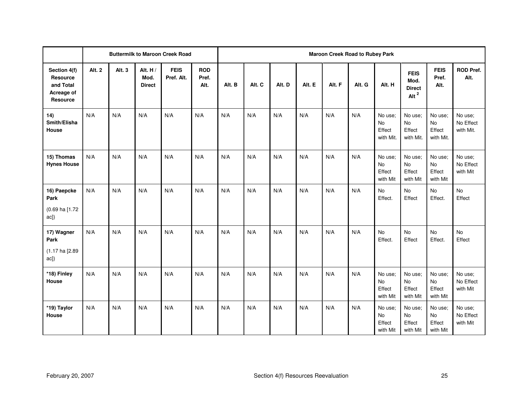|                                                                        |               |        |                                  | <b>Buttermilk to Maroon Creek Road</b> |                             |        | Maroon Creek Road to Rubey Park |        |        |        |        |                                             |                                                  |                                            |                                   |
|------------------------------------------------------------------------|---------------|--------|----------------------------------|----------------------------------------|-----------------------------|--------|---------------------------------|--------|--------|--------|--------|---------------------------------------------|--------------------------------------------------|--------------------------------------------|-----------------------------------|
| Section 4(f)<br>Resource<br>and Total<br>Acreage of<br><b>Resource</b> | <b>Alt. 2</b> | Alt. 3 | Alt. H/<br>Mod.<br><b>Direct</b> | <b>FEIS</b><br>Pref. Alt.              | <b>ROD</b><br>Pref.<br>Alt. | Alt. B | Alt. C                          | Alt. D | Alt. E | Alt. F | Alt. G | Alt. H                                      | <b>FEIS</b><br>Mod.<br><b>Direct</b><br>Alt $^2$ | <b>FEIS</b><br>Pref.<br>Alt.               | <b>ROD Pref.</b><br>Alt.          |
| 14)<br>Smith/Elisha<br>House                                           | N/A           | N/A    | N/A                              | N/A                                    | N/A                         | N/A    | N/A                             | N/A    | N/A    | N/A    | N/A    | No use;<br><b>No</b><br>Effect<br>with Mit. | No use;<br>No<br>Effect<br>with Mit.             | No use;<br>No<br>Effect<br>with Mit.       | No use;<br>No Effect<br>with Mit. |
| 15) Thomas<br><b>Hynes House</b>                                       | N/A           | N/A    | N/A                              | N/A                                    | N/A                         | N/A    | N/A                             | N/A    | N/A    | N/A    | N/A    | No use;<br>No<br>Effect<br>with Mit         | No use;<br>No<br>Effect<br>with Mit              | No use;<br><b>No</b><br>Effect<br>with Mit | No use;<br>No Effect<br>with Mit  |
| 16) Paepcke<br>Park<br>(0.69 ha [1.72<br>ac])                          | N/A           | N/A    | N/A                              | N/A                                    | N/A                         | N/A    | N/A                             | N/A    | N/A    | N/A    | N/A    | <b>No</b><br>Effect.                        | No<br>Effect                                     | No<br>Effect.                              | No<br>Effect                      |
| 17) Wagner<br>Park<br>(1.17 ha [2.89<br>ac])                           | N/A           | N/A    | N/A                              | N/A                                    | N/A                         | N/A    | N/A                             | N/A    | N/A    | N/A    | N/A    | No<br>Effect.                               | No<br>Effect                                     | No<br>Effect.                              | No<br>Effect                      |
| *18) Finley<br>House                                                   | N/A           | N/A    | N/A                              | N/A                                    | N/A                         | N/A    | N/A                             | N/A    | N/A    | N/A    | N/A    | No use;<br>No<br>Effect<br>with Mit         | No use;<br><b>No</b><br>Effect<br>with Mit       | No use;<br>No<br>Effect<br>with Mit        | No use;<br>No Effect<br>with Mit  |
| *19) Taylor<br>House                                                   | N/A           | N/A    | N/A                              | N/A                                    | N/A                         | N/A    | N/A                             | N/A    | N/A    | N/A    | N/A    | No use:<br>No<br>Effect<br>with Mit         | No use;<br>No<br>Effect<br>with Mit              | No use;<br>No<br>Effect<br>with Mit        | No use;<br>No Effect<br>with Mit  |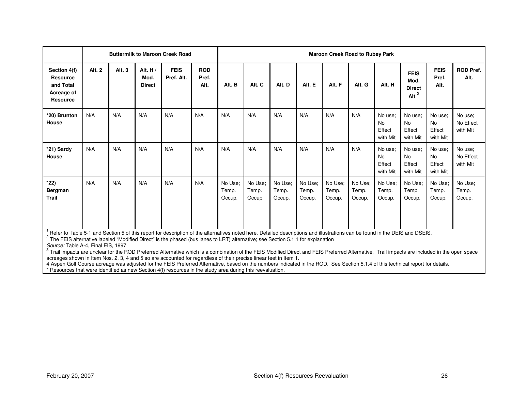|                                                                        | <b>Buttermilk to Maroon Creek Road</b> |        |                                    |                           | <b>Maroon Creek Road to Rubey Park</b> |                            |                            |                            |                            |                            |                            |                                            |                                                  |                                     |                                  |
|------------------------------------------------------------------------|----------------------------------------|--------|------------------------------------|---------------------------|----------------------------------------|----------------------------|----------------------------|----------------------------|----------------------------|----------------------------|----------------------------|--------------------------------------------|--------------------------------------------------|-------------------------------------|----------------------------------|
| Section 4(f)<br><b>Resource</b><br>and Total<br>Acreage of<br>Resource | Alt. 2                                 | Alt. 3 | Alt. $H/$<br>Mod.<br><b>Direct</b> | <b>FEIS</b><br>Pref. Alt. | <b>ROD</b><br>Pref.<br>Alt.            | Alt. B                     | Alt. C                     | Alt. D                     | Alt. E                     | Alt. F                     | Alt. G                     | Alt. H                                     | <b>FEIS</b><br>Mod.<br><b>Direct</b><br>Alt $^2$ | <b>FEIS</b><br>Pref.<br>Alt.        | <b>ROD Pref.</b><br>Alt.         |
| *20) Brunton<br>House                                                  | N/A                                    | N/A    | N/A                                | N/A                       | N/A                                    | N/A                        | N/A                        | N/A                        | N/A                        | N/A                        | N/A                        | No use:<br><b>No</b><br>Effect<br>with Mit | No use:<br><b>No</b><br>Effect<br>with Mit       | No use;<br>No<br>Effect<br>with Mit | No use;<br>No Effect<br>with Mit |
| *21) Sardy<br>House                                                    | N/A                                    | N/A    | N/A                                | N/A                       | N/A                                    | N/A                        | N/A                        | N/A                        | N/A                        | N/A                        | N/A                        | No use:<br><b>No</b><br>Effect<br>with Mit | No use:<br><b>No</b><br>Effect<br>with Mit       | No use;<br>No<br>Effect<br>with Mit | No use;<br>No Effect<br>with Mit |
| $*22)$<br><b>Bergman</b><br>Trail                                      | N/A                                    | N/A    | N/A                                | N/A                       | N/A                                    | No Use:<br>Temp.<br>Occup. | No Use:<br>Temp.<br>Occup. | No Use:<br>Temp.<br>Occup. | No Use;<br>Temp.<br>Occup. | No Use;<br>Temp.<br>Occup. | No Use;<br>Temp.<br>Occup. | No Use:<br>Temp.<br>Occup.                 | No Use;<br>Temp.<br>Occup.                       | No Use;<br>Temp.<br>Occup.          | No Use;<br>Temp.<br>Occup.       |

Refer to Table 5-1 and Section 5 of this report for description of the alternatives noted here. Detailed descriptions and illustrations can be found in the DEIS and DSEIS.

Source: Table A-4, Final EIS, 1997 No. 2016 1997 No. 2016 1997 1998 No. 2016 1998 1999 No. 2016 1999 1999 No. 2016

<sup>3</sup> Trail impacts are unclear for the ROD Preferred Alternative which is a combination of the FEIS Modified Direct and FEIS Preferred Alternative. Trail impacts are included in the open space<br>acreages shown in Item Nos. 2,

4 Aspen Golf Course acreage was adjusted for the FEIS Preferred Alternative, based on the numbers indicated in the ROD. See Section 5.1.4 of this technical report for details.<br>\* Resources that were identified as new Sectio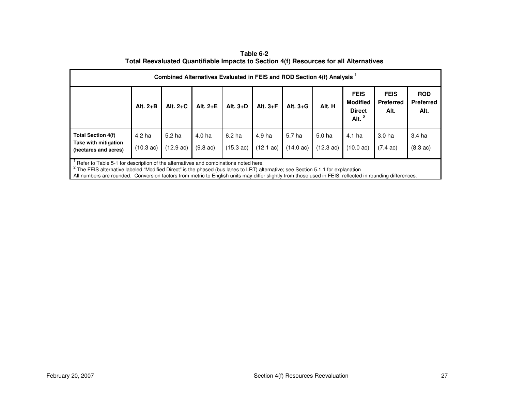**Table 6-2 Total Reevaluated Quantifiable Impacts to Section 4(f) Resources for all Alternatives** 

| Combined Alternatives Evaluated in FEIS and ROD Section 4(f) Analysis <sup>1</sup>                                                                                                                                                                                                                                                                                                |                               |                               |                              |                                |                               |                                          |                                          |                                                              |                                         |                                         |
|-----------------------------------------------------------------------------------------------------------------------------------------------------------------------------------------------------------------------------------------------------------------------------------------------------------------------------------------------------------------------------------|-------------------------------|-------------------------------|------------------------------|--------------------------------|-------------------------------|------------------------------------------|------------------------------------------|--------------------------------------------------------------|-----------------------------------------|-----------------------------------------|
|                                                                                                                                                                                                                                                                                                                                                                                   | Alt. $2+B$                    | Alt. $2+C$                    | Alt. $2+E$                   | Alt. $3+D$                     | Alt. $3 + F$                  | Alt. $3+G$                               | Alt. H                                   | <b>FEIS</b><br><b>Modified</b><br><b>Direct</b><br>Alt. $^2$ | <b>FEIS</b><br><b>Preferred</b><br>Alt. | <b>ROD</b><br><b>Preferred</b><br>Alt.  |
| <b>Total Section 4(f)</b><br>Take with mitigation<br>(hectares and acres)                                                                                                                                                                                                                                                                                                         | 4.2 ha<br>$(10.3 \text{ ac})$ | 5.2 ha<br>$(12.9 \text{ ac})$ | 4.0 ha<br>$(9.8 \text{ ac})$ | 6.2 <sub>ha</sub><br>(15.3 ac) | 4.9 ha<br>$(12.1 \text{ ac})$ | 5.7 <sub>ha</sub><br>$(14.0 \text{ ac})$ | 5.0 <sub>ha</sub><br>$(12.3 \text{ ac})$ | 4.1 ha<br>$(10.0 \text{ ac})$                                | 3.0 <sub>ha</sub><br>$(7.4 \text{ ac})$ | 3.4 <sub>ha</sub><br>$(8.3 \text{ ac})$ |
| Refer to Table 5-1 for description of the alternatives and combinations noted here.<br>The FEIS alternative labeled "Modified Direct" is the phased (bus lanes to LRT) alternative; see Section 5.1.1 for explanation<br>All numbers are rounded. Conversion factors from metric to English units may differ slightly from those used in FEIS, reflected in rounding differences. |                               |                               |                              |                                |                               |                                          |                                          |                                                              |                                         |                                         |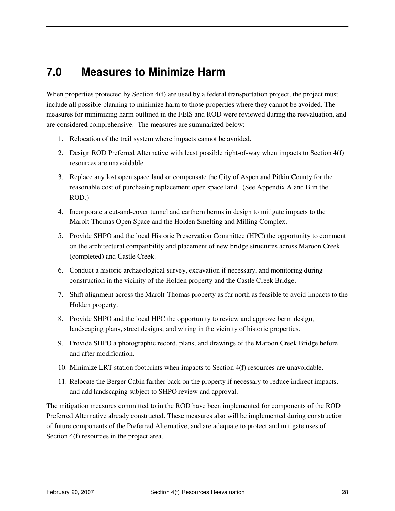# **7.0 Measures to Minimize Harm**

When properties protected by Section 4(f) are used by a federal transportation project, the project must include all possible planning to minimize harm to those properties where they cannot be avoided. The measures for minimizing harm outlined in the FEIS and ROD were reviewed during the reevaluation, and are considered comprehensive. The measures are summarized below:

- 1. Relocation of the trail system where impacts cannot be avoided.
- 2. Design ROD Preferred Alternative with least possible right-of-way when impacts to Section 4(f) resources are unavoidable.
- 3. Replace any lost open space land or compensate the City of Aspen and Pitkin County for the reasonable cost of purchasing replacement open space land. (See Appendix A and B in the ROD.)
- 4. Incorporate a cut-and-cover tunnel and earthern berms in design to mitigate impacts to the Marolt-Thomas Open Space and the Holden Smelting and Milling Complex.
- 5. Provide SHPO and the local Historic Preservation Committee (HPC) the opportunity to comment on the architectural compatibility and placement of new bridge structures across Maroon Creek (completed) and Castle Creek.
- 6. Conduct a historic archaeological survey, excavation if necessary, and monitoring during construction in the vicinity of the Holden property and the Castle Creek Bridge.
- 7. Shift alignment across the Marolt-Thomas property as far north as feasible to avoid impacts to the Holden property.
- 8. Provide SHPO and the local HPC the opportunity to review and approve berm design, landscaping plans, street designs, and wiring in the vicinity of historic properties.
- 9. Provide SHPO a photographic record, plans, and drawings of the Maroon Creek Bridge before and after modification.
- 10. Minimize LRT station footprints when impacts to Section 4(f) resources are unavoidable.
- 11. Relocate the Berger Cabin farther back on the property if necessary to reduce indirect impacts, and add landscaping subject to SHPO review and approval.

The mitigation measures committed to in the ROD have been implemented for components of the ROD Preferred Alternative already constructed. These measures also will be implemented during construction of future components of the Preferred Alternative, and are adequate to protect and mitigate uses of Section  $4(f)$  resources in the project area.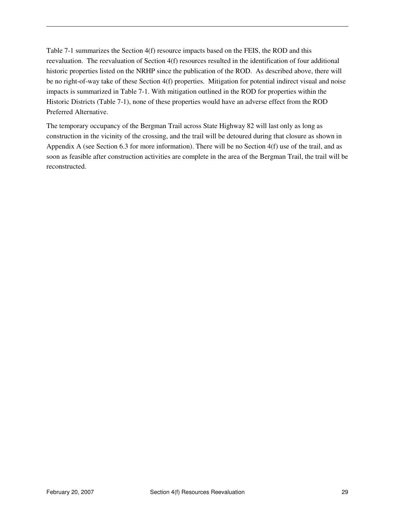Table 7-1 summarizes the Section 4(f) resource impacts based on the FEIS, the ROD and this reevaluation. The reevaluation of Section 4(f) resources resulted in the identification of four additional historic properties listed on the NRHP since the publication of the ROD. As described above, there will be no right-of-way take of these Section 4(f) properties. Mitigation for potential indirect visual and noise impacts is summarized in Table 7-1. With mitigation outlined in the ROD for properties within the Historic Districts (Table 7-1), none of these properties would have an adverse effect from the ROD Preferred Alternative.

The temporary occupancy of the Bergman Trail across State Highway 82 will last only as long as construction in the vicinity of the crossing, and the trail will be detoured during that closure as shown in Appendix A (see Section 6.3 for more information). There will be no Section 4(f) use of the trail, and as soon as feasible after construction activities are complete in the area of the Bergman Trail, the trail will be reconstructed.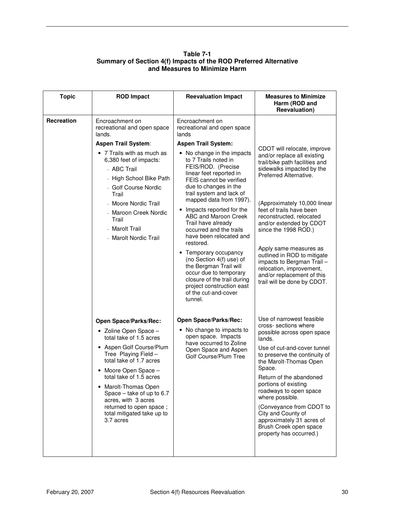#### **Table 7-1 Summary of Section 4(f) Impacts of the ROD Preferred Alternative and Measures to Minimize Harm**

| <b>Topic</b> | <b>ROD Impact</b>                                                                                                                                                                                                                                                                                                                                                             | <b>Reevaluation Impact</b>                                                                                                                                                                                                                                                                                                                                                                                                                                                                                                                                                                                                                                   | <b>Measures to Minimize</b><br>Harm (ROD and<br><b>Reevaluation</b> )                                                                                                                                                                                                                                                                                                                                                                                                         |
|--------------|-------------------------------------------------------------------------------------------------------------------------------------------------------------------------------------------------------------------------------------------------------------------------------------------------------------------------------------------------------------------------------|--------------------------------------------------------------------------------------------------------------------------------------------------------------------------------------------------------------------------------------------------------------------------------------------------------------------------------------------------------------------------------------------------------------------------------------------------------------------------------------------------------------------------------------------------------------------------------------------------------------------------------------------------------------|-------------------------------------------------------------------------------------------------------------------------------------------------------------------------------------------------------------------------------------------------------------------------------------------------------------------------------------------------------------------------------------------------------------------------------------------------------------------------------|
| Recreation   | Encroachment on<br>recreational and open space<br>lands.<br><b>Aspen Trail System:</b><br>• 7 Trails with as much as<br>6,380 feet of impacts:<br>- ABC Trail<br>- High School Bike Path<br>- Golf Course Nordic<br>Trail<br>- Moore Nordic Trail<br>- Maroon Creek Nordic<br>Trail<br>- Marolt Trail<br>- Marolt Nordic Trail                                                | Encroachment on<br>recreational and open space<br>lands<br><b>Aspen Trail System:</b><br>• No change in the impacts<br>to 7 Trails noted in<br>FEIS/ROD. (Precise<br>linear feet reported in<br>FEIS cannot be verified<br>due to changes in the<br>trail system and lack of<br>mapped data from 1997).<br>Impacts reported for the<br>ABC and Maroon Creek<br>Trail have already<br>occurred and the trails<br>have been relocated and<br>restored.<br>• Temporary occupancy<br>(no Section 4(f) use) of<br>the Bergman Trail will<br>occur due to temporary<br>closure of the trail during<br>project construction east<br>of the cut-and-cover<br>tunnel. | CDOT will relocate, improve<br>and/or replace all existing<br>trail/bike path facilities and<br>sidewalks impacted by the<br>Preferred Alternative.<br>(Approximately 10,000 linear<br>feet of trails have been<br>reconstructed, relocated<br>and/or extended by CDOT<br>since the 1998 ROD.)<br>Apply same measures as<br>outlined in ROD to mitigate<br>impacts to Bergman Trail-<br>relocation, improvement,<br>and/or replacement of this<br>trail will be done by CDOT. |
|              | <b>Open Space/Parks/Rec:</b><br>• Zoline Open Space -<br>total take of 1.5 acres<br>• Aspen Golf Course/Plum<br>Tree Playing Field -<br>total take of 1.7 acres<br>Moore Open Space -<br>total take of 1.5 acres<br>Marolt-Thomas Open<br>$\bullet$<br>Space - take of up to 6.7<br>acres, with 3 acres<br>returned to open space;<br>total mitigated take up to<br>3.7 acres | Open Space/Parks/Rec:<br>• No change to impacts to<br>open space. Impacts<br>have occurred to Zoline<br>Open Space and Aspen<br>Golf Course/Plum Tree                                                                                                                                                                                                                                                                                                                                                                                                                                                                                                        | Use of narrowest feasible<br>cross- sections where<br>possible across open space<br>lands.<br>Use of cut-and-cover tunnel<br>to preserve the continuity of<br>the Marolt-Thomas Open<br>Space.<br>Return of the abandoned<br>portions of existing<br>roadways to open space<br>where possible.<br>(Conveyance from CDOT to<br>City and County of<br>approximately 31 acres of<br>Brush Creek open space<br>property has occurred.)                                            |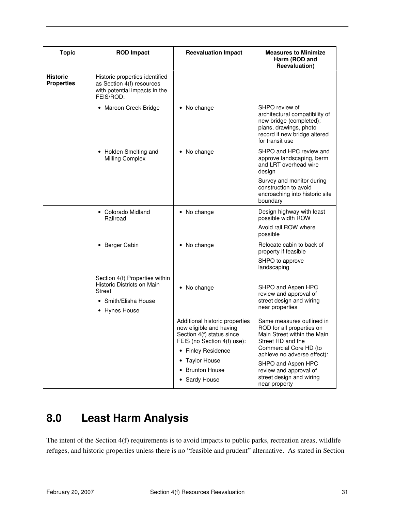| <b>Topic</b>                         | <b>ROD Impact</b>                                                                                                      | <b>Reevaluation Impact</b>                                                                                                                  | <b>Measures to Minimize</b><br>Harm (ROD and<br>Reevaluation)                                                                                                       |
|--------------------------------------|------------------------------------------------------------------------------------------------------------------------|---------------------------------------------------------------------------------------------------------------------------------------------|---------------------------------------------------------------------------------------------------------------------------------------------------------------------|
| <b>Historic</b><br><b>Properties</b> | Historic properties identified<br>as Section 4(f) resources<br>with potential impacts in the<br>FEIS/ROD:              |                                                                                                                                             |                                                                                                                                                                     |
|                                      | • Maroon Creek Bridge                                                                                                  | • No change                                                                                                                                 | SHPO review of<br>architectural compatibility of<br>new bridge (completed);<br>plans, drawings, photo<br>record if new bridge altered<br>for transit use            |
|                                      | • Holden Smelting and<br>Milling Complex                                                                               | • No change                                                                                                                                 | SHPO and HPC review and<br>approve landscaping, berm<br>and LRT overhead wire<br>design                                                                             |
|                                      |                                                                                                                        |                                                                                                                                             | Survey and monitor during<br>construction to avoid<br>encroaching into historic site<br>boundary                                                                    |
|                                      | • Colorado Midland<br>Railroad                                                                                         | • No change                                                                                                                                 | Design highway with least<br>possible width ROW                                                                                                                     |
|                                      |                                                                                                                        |                                                                                                                                             | Avoid rail ROW where<br>possible                                                                                                                                    |
|                                      | • Berger Cabin                                                                                                         | • No change                                                                                                                                 | Relocate cabin to back of<br>property if feasible                                                                                                                   |
|                                      |                                                                                                                        |                                                                                                                                             | SHPO to approve<br>landscaping                                                                                                                                      |
|                                      | Section 4(f) Properties within<br>Historic Districts on Main<br><b>Street</b><br>• Smith/Elisha House<br>• Hynes House | • No change                                                                                                                                 | SHPO and Aspen HPC<br>review and approval of<br>street design and wiring<br>near properties                                                                         |
|                                      |                                                                                                                        | Additional historic properties<br>now eligible and having<br>Section 4(f) status since<br>FEIS (no Section 4(f) use):<br>• Finley Residence | Same measures outlined in<br>ROD for all properties on<br>Main Street within the Main<br>Street HD and the<br>Commercial Core HD (to<br>achieve no adverse effect): |
|                                      |                                                                                                                        | • Taylor House                                                                                                                              | SHPO and Aspen HPC                                                                                                                                                  |
|                                      |                                                                                                                        | • Brunton House                                                                                                                             | review and approval of<br>street design and wiring                                                                                                                  |
|                                      |                                                                                                                        | • Sardy House                                                                                                                               | near property                                                                                                                                                       |

# **8.0 Least Harm Analysis**

The intent of the Section 4(f) requirements is to avoid impacts to public parks, recreation areas, wildlife refuges, and historic properties unless there is no "feasible and prudent" alternative. As stated in Section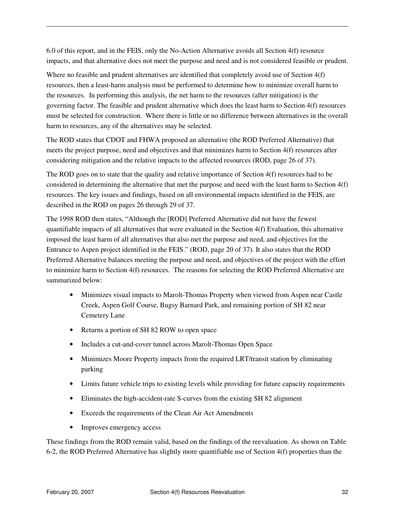6.0 of this report, and in the FEIS, only the No-Action Alternative avoids all Section 4(f) resource impacts, and that alternative does not meet the purpose and need and is not considered feasible or prudent.

Where no feasible and prudent alternatives are identified that completely avoid use of Section 4(f) resources, then a least-harm analysis must be performed to determine how to minimize overall harm to the resources. In performing this analysis, the net harm to the resources (after mitigation) is the governing factor. The feasible and prudent alternative which does the least harm to Section 4(f) resources must be selected for construction. Where there is little or no difference between alternatives in the overall harm to resources, any of the alternatives may be selected.

The ROD states that CDOT and FHWA proposed an alternative (the ROD Preferred Alternative) that meets the project purpose, need and objectives and that minimizes harm to Section 4(f) resources after considering mitigation and the relative impacts to the affected resources (ROD, page 26 of 37).

The ROD goes on to state that the quality and relative importance of Section 4(f) resources had to be considered in determining the alternative that met the purpose and need with the least harm to Section 4(f) resources. The key issues and findings, based on all environmental impacts identified in the FEIS, are described in the ROD on pages 26 through 29 of 37.

The 1998 ROD then states, "Although the [ROD] Preferred Alternative did not have the fewest quantifiable impacts of all alternatives that were evaluated in the Section 4(f) Evaluation, this alternative imposed the least harm of all alternatives that also met the purpose and need, and objectives for the Entrance to Aspen project identified in the FEIS." (ROD, page 20 of 37). It also states that the ROD Preferred Alternative balances meeting the purpose and need, and objectives of the project with the effort to minimize harm to Section 4(f) resources. The reasons for selecting the ROD Preferred Alternative are summarized below:

- Minimizes visual impacts to Marolt-Thomas Property when viewed from Aspen near Castle Creek, Aspen Golf Course, Bugsy Barnard Park, and remaining portion of SH 82 near Cemetery Lane
- Returns a portion of SH 82 ROW to open space
- Includes a cut-and-cover tunnel across Marolt-Thomas Open Space
- Minimizes Moore Property impacts from the required LRT/transit station by eliminating parking
- Limits future vehicle trips to existing levels while providing for future capacity requirements
- Eliminates the high-accident-rate S-curves from the existing SH 82 alignment
- Exceeds the requirements of the Clean Air Act Amendments
- Improves emergency access

These findings from the ROD remain valid, based on the findings of the reevaluation. As shown on Table 6-2, the ROD Preferred Alternative has slightly more quantifiable use of Section 4(f) properties than the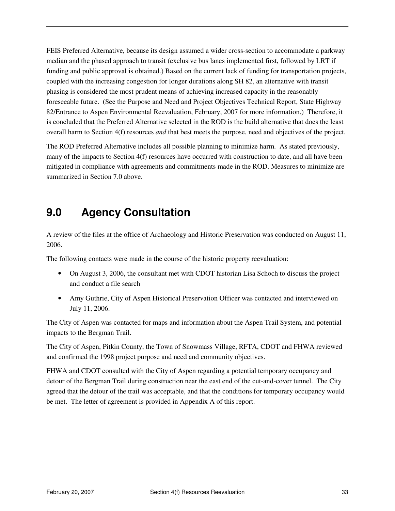FEIS Preferred Alternative, because its design assumed a wider cross-section to accommodate a parkway median and the phased approach to transit (exclusive bus lanes implemented first, followed by LRT if funding and public approval is obtained.) Based on the current lack of funding for transportation projects, coupled with the increasing congestion for longer durations along SH 82, an alternative with transit phasing is considered the most prudent means of achieving increased capacity in the reasonably foreseeable future. (See the Purpose and Need and Project Objectives Technical Report, State Highway 82/Entrance to Aspen Environmental Reevaluation, February, 2007 for more information.) Therefore, it is concluded that the Preferred Alternative selected in the ROD is the build alternative that does the least overall harm to Section 4(f) resources *and* that best meets the purpose, need and objectives of the project.

The ROD Preferred Alternative includes all possible planning to minimize harm. As stated previously, many of the impacts to Section 4(f) resources have occurred with construction to date, and all have been mitigated in compliance with agreements and commitments made in the ROD. Measures to minimize are summarized in Section 7.0 above.

# **9.0 Agency Consultation**

A review of the files at the office of Archaeology and Historic Preservation was conducted on August 11, 2006.

The following contacts were made in the course of the historic property reevaluation:

- On August 3, 2006, the consultant met with CDOT historian Lisa Schoch to discuss the project and conduct a file search
- Amy Guthrie, City of Aspen Historical Preservation Officer was contacted and interviewed on July 11, 2006.

The City of Aspen was contacted for maps and information about the Aspen Trail System, and potential impacts to the Bergman Trail.

The City of Aspen, Pitkin County, the Town of Snowmass Village, RFTA, CDOT and FHWA reviewed and confirmed the 1998 project purpose and need and community objectives.

FHWA and CDOT consulted with the City of Aspen regarding a potential temporary occupancy and detour of the Bergman Trail during construction near the east end of the cut-and-cover tunnel. The City agreed that the detour of the trail was acceptable, and that the conditions for temporary occupancy would be met. The letter of agreement is provided in Appendix A of this report.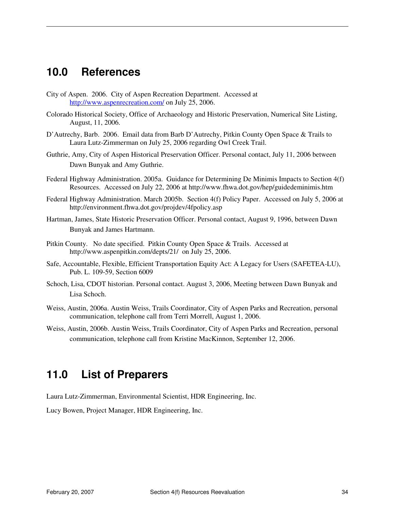# **10.0 References**

- City of Aspen. 2006. City of Aspen Recreation Department. Accessed at http://www.aspenrecreation.com/ on July 25, 2006.
- Colorado Historical Society, Office of Archaeology and Historic Preservation, Numerical Site Listing, August, 11, 2006.
- D'Autrechy, Barb. 2006. Email data from Barb D'Autrechy, Pitkin County Open Space & Trails to Laura Lutz-Zimmerman on July 25, 2006 regarding Owl Creek Trail.
- Guthrie, Amy, City of Aspen Historical Preservation Officer. Personal contact, July 11, 2006 between Dawn Bunyak and Amy Guthrie.
- Federal Highway Administration. 2005a. Guidance for Determining De Minimis Impacts to Section 4(f) Resources. Accessed on July 22, 2006 at http://www.fhwa.dot.gov/hep/guidedeminimis.htm
- Federal Highway Administration. March 2005b. Section 4(f) Policy Paper. Accessed on July 5, 2006 at http://environment.fhwa.dot.gov/projdev/4fpolicy.asp
- Hartman, James, State Historic Preservation Officer. Personal contact, August 9, 1996, between Dawn Bunyak and James Hartmann.
- Pitkin County. No date specified. Pitkin County Open Space & Trails. Accessed at http://www.aspenpitkin.com/depts/21/ on July 25, 2006.
- Safe, Accountable, Flexible, Efficient Transportation Equity Act: A Legacy for Users (SAFETEA-LU), Pub. L. 109-59, Section 6009
- Schoch, Lisa, CDOT historian. Personal contact. August 3, 2006, Meeting between Dawn Bunyak and Lisa Schoch.
- Weiss, Austin, 2006a. Austin Weiss, Trails Coordinator, City of Aspen Parks and Recreation, personal communication, telephone call from Terri Morrell, August 1, 2006.
- Weiss, Austin, 2006b. Austin Weiss, Trails Coordinator, City of Aspen Parks and Recreation, personal communication, telephone call from Kristine MacKinnon, September 12, 2006.

# **11.0 List of Preparers**

Laura Lutz-Zimmerman, Environmental Scientist, HDR Engineering, Inc.

Lucy Bowen, Project Manager, HDR Engineering, Inc.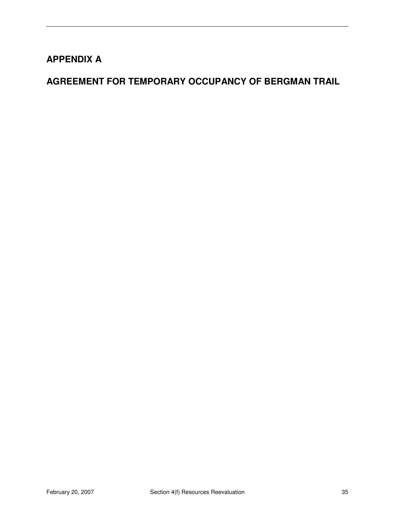# **APPENDIX A**

# **AGREEMENT FOR TEMPORARY OCCUPANCY OF BERGMAN TRAIL**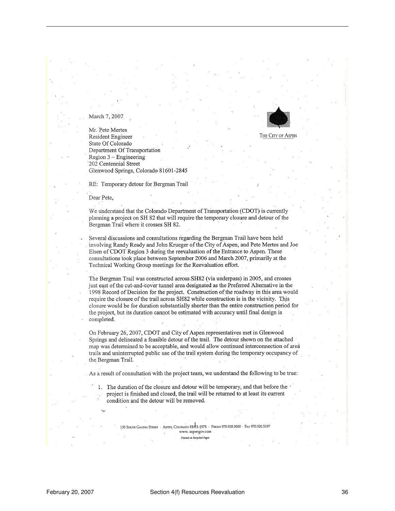

March 7, 2007

Mr. Pete Mertes Resident Engineer State Of Colorado Department Of Transportation  $Region 3 - Engineering$ 202 Centennial Street Glenwood Springs, Colorado 81601-2845

RE: Temporary detour for Bergman Trail

Dear Pete.

We understand that the Colorado Department of Transportation (CDOT) is currently planning a project on SH 82 that will require the temporary closure and detour of the Bergman Trail where it crosses SH 82.

Several discussions and consultations regarding the Bergman Trail have been held involving Randy Ready and John Krueger of the City of Aspen, and Pete Mertes and Joe Elsen of CDOT Region 3 during the reevaluation of the Entrance to Aspen. These consultations took place between September 2006 and March 2007, primarily at the Technical Working Group meetings for the Reevaluation effort.

The Bergman Trail was constructed across SH82 (via underpass) in 2005, and crosses just east of the cut-and-cover tunnel area designated as the Preferred Alternative in the 1998 Record of Decision for the project. Construction of the roadway in this area would require the closure of the trail across SH82 while construction is in the vicinity. This closure would be for duration substantially shorter than the entire construction period for the project, but its duration cannot be estimated with accuracy until final design is completed.

On February 26, 2007, CDOT and City of Aspen representatives met in Glenwood Springs and delineated a feasible detour of the trail. The detour shown on the attached map was determined to be acceptable, and would allow continued interconnection of area trails and uninterrupted public use of the trail system during the temporary occupancy of the Bergman Trail.

As a result of consultation with the project team, we understand the following to be true:

1. The duration of the closure and detour will be temporary, and that before the project is finished and closed, the trail will be returned to at least its current condition and the detour will be removed.

> 130 South Galena Street · Aspen, Colorado 8181-1975 · Phone 970.920.5000 · Fax 970.920.5197 www.aspengov.com Printed on Recycled Paper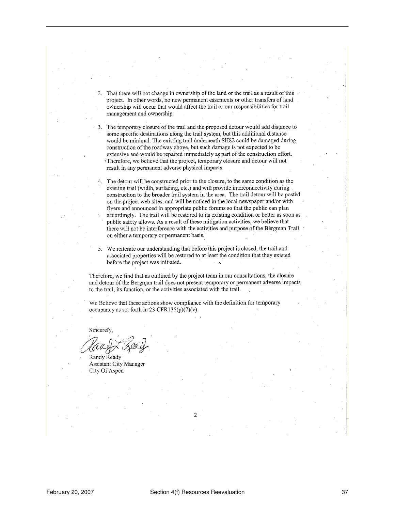That there will not change in ownership of the land or the trail as a result of this  $2.$ project. In other words, no new permanent easements or other transfers of land ownership will occur that would affect the trail or our responsibilities for trail management and ownership.

3. The temporary closure of the trail and the proposed detour would add distance to some specific destinations along the trail system, but this additional distance would be minimal. The existing trail underneath SH82 could be damaged during construction of the roadway above, but such damage is not expected to be extensive and would be repaired immediately as part of the construction effort. Therefore, we believe that the project, temporary closure and detour will not result in any permanent adverse physical impacts.

The detour will be constructed prior to the closure, to the same condition as the  $\overline{4}$ . existing trail (width, surfacing, etc.) and will provide interconnectivity during construction to the broader trail system in the area. The trail detour will be posted on the project web sites, and will be noticed in the local newspaper and/or with flyers and announced in appropriate public forums so that the public can plan accordingly. The trail will be restored to its existing condition or better as soon as public safety allows. As a result of these mitigation activities, we believe that there will not be interference with the activities and purpose of the Bergman Trail on either a temporary or permanent basis.

5. We reiterate our understanding that before this project is closed, the trail and associated properties will be restored to at least the condition that they existed before the project was initiated.

Therefore, we find that as outlined by the project team in our consultations, the closure and detour of the Bergman trail does not present temporary or permanent adverse impacts to the trail, its function, or the activities associated with the trail.

We Believe that these actions show compliance with the definition for temporary occupancy as set forth in 23 CFR135(p)(7)(v).

Sincerely.

Randy Ready **Assistant City Manager** City Of Aspen

 $\mathcal{L}$